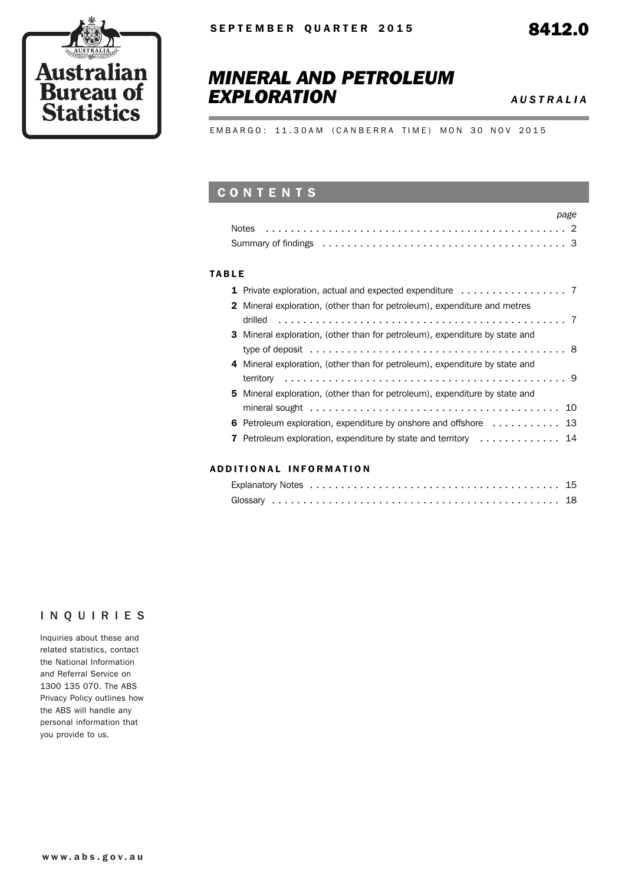

# *MINERAL AND PETROLEUM EXPLORATION AUSTRALIA*

EMBARGO: 11.30AM (CANBERRA TIME) MON 30 NOV 2015

### **CONTENTS**

|                                                                                                                              | page |
|------------------------------------------------------------------------------------------------------------------------------|------|
|                                                                                                                              |      |
| Summary of findings enterpreteration of the summary of findings enterpreteration of the summary of findings of $\frac{3}{2}$ |      |

#### TABLE

| <b>2</b> Mineral exploration, (other than for petroleum), expenditure and metres                      |  |
|-------------------------------------------------------------------------------------------------------|--|
|                                                                                                       |  |
| <b>3</b> Mineral exploration, (other than for petroleum), expenditure by state and                    |  |
| type of deposit $\ldots \ldots \ldots \ldots \ldots \ldots \ldots \ldots \ldots \ldots \ldots \ldots$ |  |
| 4 Mineral exploration, (other than for petroleum), expenditure by state and                           |  |
|                                                                                                       |  |
| <b>5</b> Mineral exploration, (other than for petroleum), expenditure by state and                    |  |
| mineral sought $\dots\dots\dots\dots\dots\dots\dots\dots\dots\dots\dots\dots\dots$                    |  |
| 6 Petroleum exploration, expenditure by onshore and offshore  13                                      |  |
| <b>7</b> Petroleum exploration, expenditure by state and territory  14                                |  |
|                                                                                                       |  |

#### ADD ITIONAL INFORMATION

#### INQUIRIES

Inquiries about these and related statistics, contact the National Information and Referral Service on 1300 135 070. The ABS Privacy Policy outlines how the ABS will handle any personal information that you provide to us.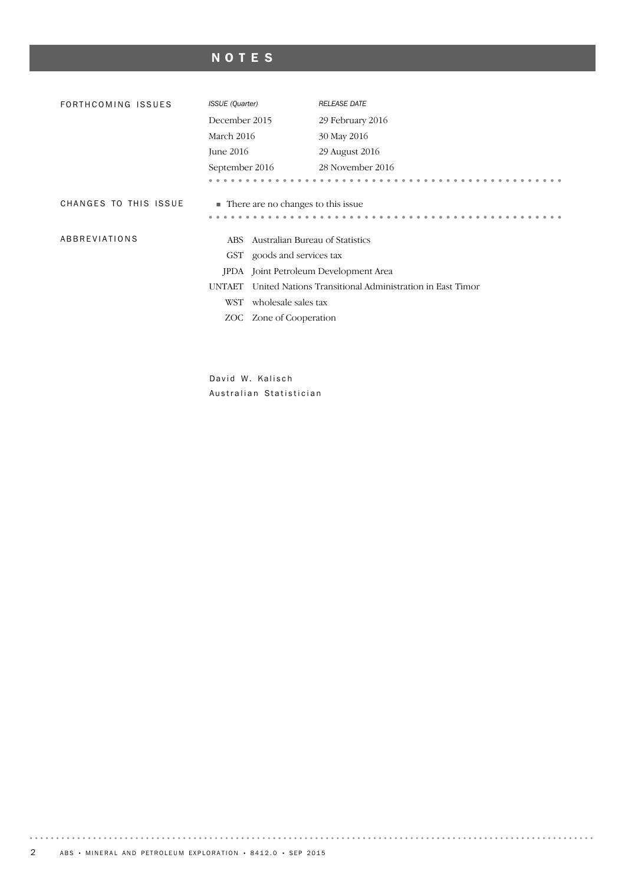# NOTES

| FORTHCOMING ISSUES    | <b>ISSUE</b> (Quarter)                  | <b>RELEASE DATE</b>                                      |  |  |  |  |  |
|-----------------------|-----------------------------------------|----------------------------------------------------------|--|--|--|--|--|
|                       | December 2015                           | 29 February 2016                                         |  |  |  |  |  |
|                       | March 2016                              | 30 May 2016                                              |  |  |  |  |  |
|                       | June 2016                               | 29 August 2016                                           |  |  |  |  |  |
|                       | September 2016                          | 28 November 2016                                         |  |  |  |  |  |
|                       |                                         |                                                          |  |  |  |  |  |
| CHANGES TO THIS ISSUE | • There are no changes to this issue    |                                                          |  |  |  |  |  |
|                       |                                         |                                                          |  |  |  |  |  |
| ABBREVIATIONS         | Australian Bureau of Statistics<br>ABS. |                                                          |  |  |  |  |  |
|                       | goods and services tax<br>GST           |                                                          |  |  |  |  |  |
|                       | <b>IPDA</b>                             | Joint Petroleum Development Area                         |  |  |  |  |  |
|                       | <b>UNTAET</b>                           | United Nations Transitional Administration in East Timor |  |  |  |  |  |
|                       | wholesale sales tax<br>WST              |                                                          |  |  |  |  |  |
|                       | Zone of Cooperation<br>ZOC-             |                                                          |  |  |  |  |  |
|                       |                                         |                                                          |  |  |  |  |  |
|                       |                                         |                                                          |  |  |  |  |  |

David W. Kalisch Australian Statistician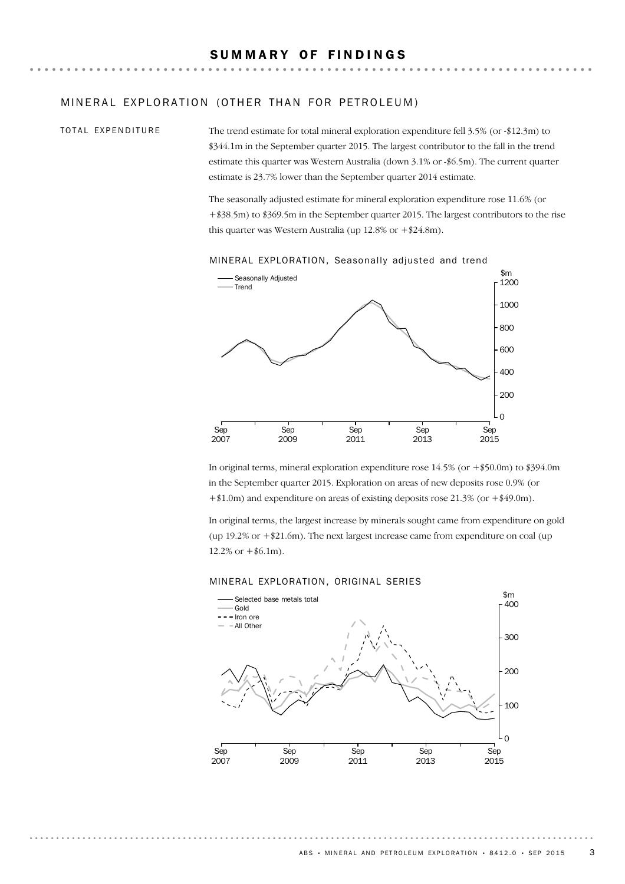#### MINERAL EXPLORATION (OTHER THAN FOR PETROLEUM)

#### TOTAL EXPENDITURE

The trend estimate for total mineral exploration expenditure fell 3.5% (or -\$12.3m) to \$344.1m in the September quarter 2015. The largest contributor to the fall in the trend estimate this quarter was Western Australia (down 3.1% or -\$6.5m). The current quarter estimate is 23.7% lower than the September quarter 2014 estimate.

The seasonally adjusted estimate for mineral exploration expenditure rose 11.6% (or +\$38.5m) to \$369.5m in the September quarter 2015. The largest contributors to the rise this quarter was Western Australia (up 12.8% or +\$24.8m).



MINERAL EXPLORATION, Seasonally adjusted and trend

In original terms, mineral exploration expenditure rose 14.5% (or +\$50.0m) to \$394.0m in the September quarter 2015. Exploration on areas of new deposits rose 0.9% (or +\$1.0m) and expenditure on areas of existing deposits rose 21.3% (or +\$49.0m).

In original terms, the largest increase by minerals sought came from expenditure on gold (up  $19.2\%$  or  $+\$21.6$ m). The next largest increase came from expenditure on coal (up  $12.2\% \text{ or } +\$6.1\text{m}$ .

#### MINERAL EXPLORATION, ORIGINAL SERIES

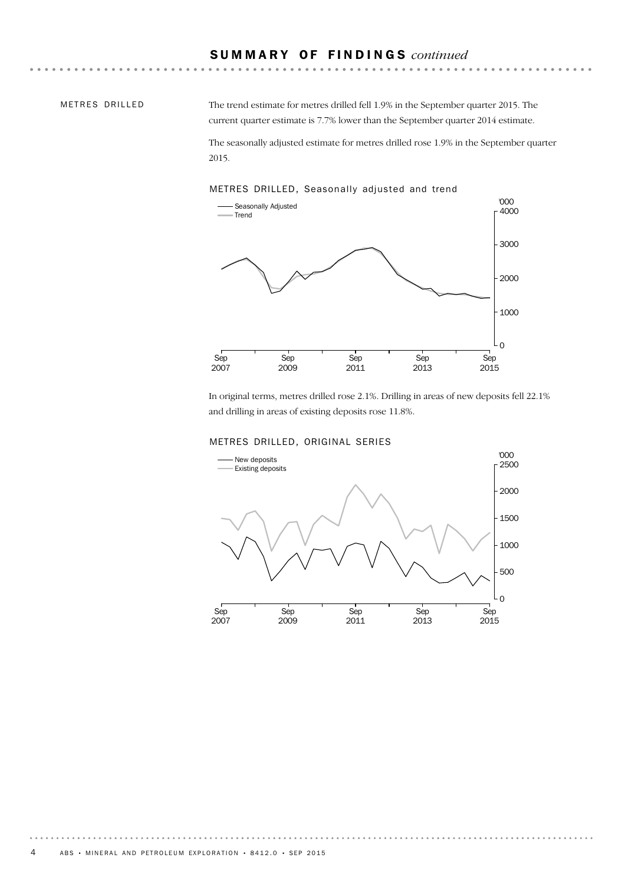#### METRES DRILLED

The trend estimate for metres drilled fell 1.9% in the September quarter 2015. The current quarter estimate is 7.7% lower than the September quarter 2014 estimate.

The seasonally adjusted estimate for metres drilled rose 1.9% in the September quarter 2015.

#### METRES DRILLED, Seasonally adjusted and trend



In original terms, metres drilled rose 2.1%. Drilling in areas of new deposits fell 22.1% and drilling in areas of existing deposits rose 11.8%.

#### METRES DRILLED, ORIGINAL SERIES

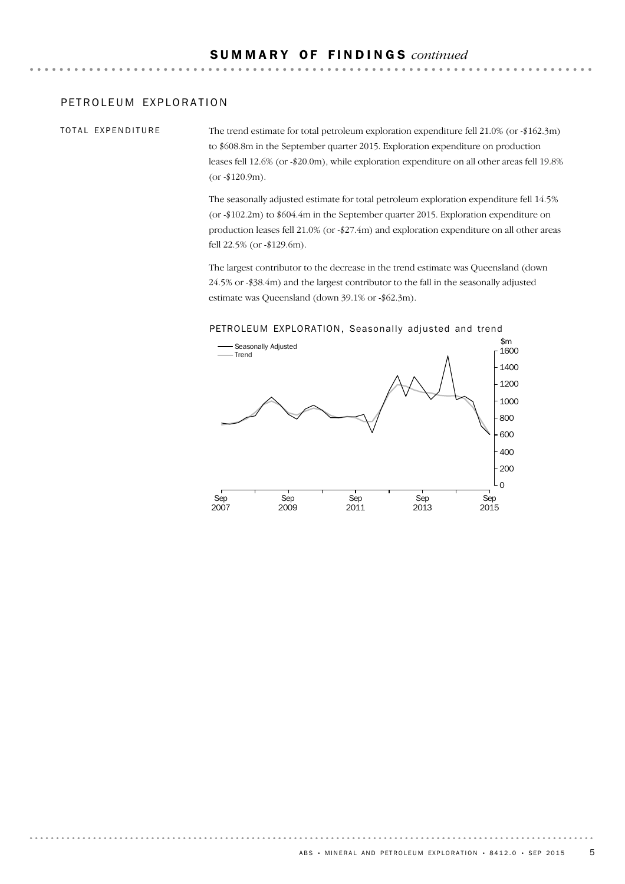#### PETROLEUM EXPLORATION

TOTAL EXPENDITURE

The trend estimate for total petroleum exploration expenditure fell 21.0% (or -\$162.3m) to \$608.8m in the September quarter 2015. Exploration expenditure on production leases fell 12.6% (or -\$20.0m), while exploration expenditure on all other areas fell 19.8% (or -\$120.9m).

The seasonally adjusted estimate for total petroleum exploration expenditure fell 14.5% (or -\$102.2m) to \$604.4m in the September quarter 2015. Exploration expenditure on production leases fell 21.0% (or -\$27.4m) and exploration expenditure on all other areas fell 22.5% (or -\$129.6m).

The largest contributor to the decrease in the trend estimate was Queensland (down 24.5% or -\$38.4m) and the largest contributor to the fall in the seasonally adjusted estimate was Queensland (down 39.1% or -\$62.3m).



#### PETROLEUM EXPLORATION, Seasonally adjusted and trend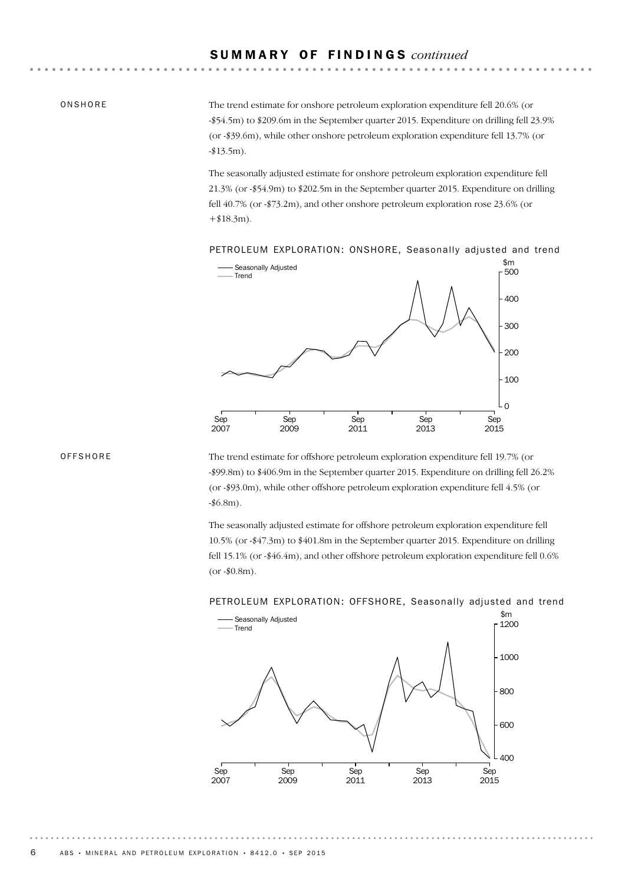#### **ONSHORE**

The trend estimate for onshore petroleum exploration expenditure fell 20.6% (or -\$54.5m) to \$209.6m in the September quarter 2015. Expenditure on drilling fell 23.9% (or -\$39.6m), while other onshore petroleum exploration expenditure fell 13.7% (or  $-$ \$13.5m).

The seasonally adjusted estimate for onshore petroleum exploration expenditure fell 21.3% (or -\$54.9m) to \$202.5m in the September quarter 2015. Expenditure on drilling fell 40.7% (or -\$73.2m), and other onshore petroleum exploration rose 23.6% (or  $+ $18.3m$ ).

PETROLEUM EXPLORATION: ONSHORE, Seasonally adjusted and trend



#### **OFFSHORE**

The trend estimate for offshore petroleum exploration expenditure fell 19.7% (or -\$99.8m) to \$406.9m in the September quarter 2015. Expenditure on drilling fell 26.2% (or -\$93.0m), while other offshore petroleum exploration expenditure fell 4.5% (or -\$6.8m).

The seasonally adjusted estimate for offshore petroleum exploration expenditure fell 10.5% (or -\$47.3m) to \$401.8m in the September quarter 2015. Expenditure on drilling fell 15.1% (or -\$46.4m), and other offshore petroleum exploration expenditure fell 0.6%  $(or - $0.8m).$ 



#### PETROLEUM EXPLORATION: OFFSHORE, Seasonally adjusted and trend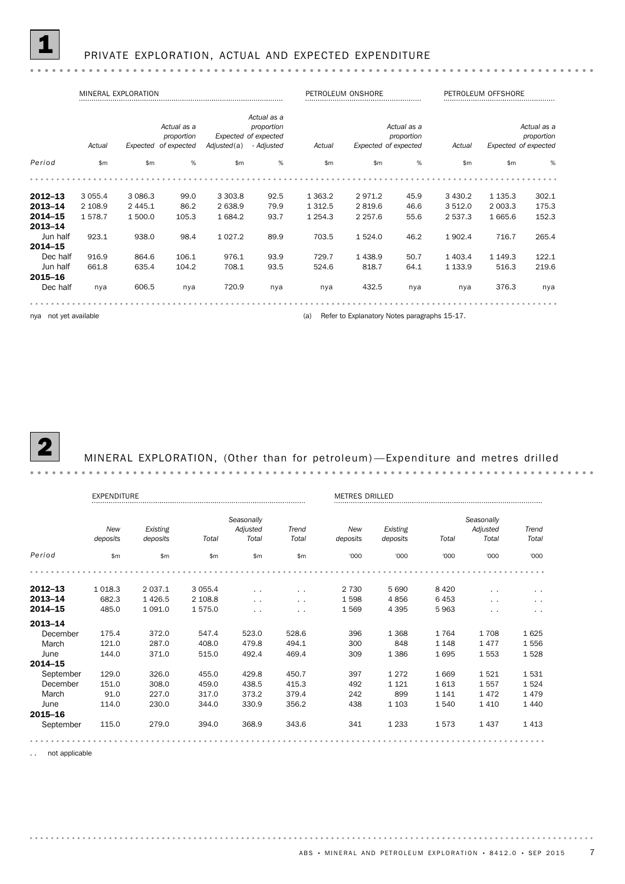PRIVATE EXPLORATION, ACTUAL AND EXPECTED EXPENDITURE

|                    |                                                                                                                                               | MINERAL EXPLORATION |       |               |      |             | PETROLEUM ONSHORE |                                                   | PETROLEUM OFFSHORE                                          |             |       |  |
|--------------------|-----------------------------------------------------------------------------------------------------------------------------------------------|---------------------|-------|---------------|------|-------------|-------------------|---------------------------------------------------|-------------------------------------------------------------|-------------|-------|--|
|                    | Actual as a<br>Actual as a<br>proportion<br>Expected of expected<br>proportion<br>Expected of expected<br>Actual<br>Adjusted(a)<br>- Adjusted |                     |       |               |      | Actual      |                   | Actual as a<br>proportion<br>Expected of expected | Actual as a<br>proportion<br>Expected of expected<br>Actual |             |       |  |
| Period             | \$m                                                                                                                                           | \$m                 | $\%$  | $\mathsf{Sm}$ | %    | \$m         | $\mathsf{m}$      | %                                                 | $\mathsf{Sm}$                                               | \$m         | %     |  |
|                    |                                                                                                                                               |                     |       |               |      |             |                   |                                                   |                                                             |             |       |  |
| $2012 - 13$        | 3 0 5 5.4                                                                                                                                     | 3 0 8 6.3           | 99.0  | 3 3 0 3.8     | 92.5 | 1 3 6 3.2   | 2971.2            | 45.9                                              | 3 4 3 0.2                                                   | 1 1 3 5 . 3 | 302.1 |  |
| 2013-14            | 2 108.9                                                                                                                                       | 2 4 4 5 . 1         | 86.2  | 2 638.9       | 79.9 | 1 3 1 2.5   | 2819.6            | 46.6                                              | 3 5 1 2.0                                                   | 2 003.3     | 175.3 |  |
| 2014-15<br>2013-14 | 1578.7                                                                                                                                        | 1 500.0             | 105.3 | 1 684.2       | 93.7 | 1 2 5 4 . 3 | 2 2 5 7 .6        | 55.6                                              | 2 5 3 7 . 3                                                 | 1 665.6     | 152.3 |  |
| Jun half           | 923.1                                                                                                                                         | 938.0               | 98.4  | 1 0 2 7 . 2   | 89.9 | 703.5       | 1 5 2 4 .0        | 46.2                                              | 1902.4                                                      | 716.7       | 265.4 |  |
| 2014-15            |                                                                                                                                               |                     |       |               |      |             |                   |                                                   |                                                             |             |       |  |
| Dec half           | 916.9                                                                                                                                         | 864.6               | 106.1 | 976.1         | 93.9 | 729.7       | 1438.9            | 50.7                                              | 1 403.4                                                     | 1 149.3     | 122.1 |  |
| Jun half           | 661.8                                                                                                                                         | 635.4               | 104.2 | 708.1         | 93.5 | 524.6       | 818.7             | 64.1                                              | 1 1 3 3.9                                                   | 516.3       | 219.6 |  |
| 2015-16            |                                                                                                                                               |                     |       |               |      |             |                   |                                                   |                                                             |             |       |  |
| Dec half           | nya                                                                                                                                           | 606.5               | nya   | 720.9         | nya  | nya         | 432.5             | nya                                               | nya                                                         | 376.3       | nya   |  |
|                    |                                                                                                                                               |                     |       |               |      |             |                   |                                                   |                                                             |             |       |  |

nya not yet available **and the contract of the contract of the contract of the contract of the contract of the contract of the contract of the contract of the contract of the contract of the contract of the contract of the** 

### 2 MINERAL EXPLORATION, (Other than for petroleum) —Expenditure and metres drilled

|             | <b>EXPENDITURE</b> |           |           |               |                      | <b>METRES DRILLED</b> |          |         |            |               |  |
|-------------|--------------------|-----------|-----------|---------------|----------------------|-----------------------|----------|---------|------------|---------------|--|
|             |                    |           |           | Seasonally    |                      |                       |          |         | Seasonally |               |  |
|             | New                | Existing  |           | Adjusted      | Trend                | New                   | Existing |         | Adjusted   | Trend         |  |
|             | deposits           | deposits  | Total     | Total         | Total                | deposits              | deposits | Total   | Total      | Total         |  |
| Period      | \$m\$              | \$m       | \$m       | \$m           | \$m\$                | '000                  | '000     | '000    | '000       | '000          |  |
|             |                    |           |           |               |                      |                       |          |         |            |               |  |
| $2012 - 13$ | 1 0 18.3           | 2 0 3 7.1 | 3 0 5 5.4 | $\sim$ $\sim$ | $\sim$               | 2 7 3 0               | 5 6 9 0  | 8420    | $\sim$     | $\ddotsc$     |  |
| 2013-14     | 682.3              | 1426.5    | 2 108.8   | $\sim$ $\sim$ | $\ddot{\phantom{1}}$ | 1598                  | 4856     | 6453    | . .        | $\ddotsc$     |  |
| 2014-15     | 485.0              | 1 0 9 1.0 | 1575.0    | $\sim$        | $\sim$ $\sim$        | 1569                  | 4 3 9 5  | 5963    | $\sim$     | $\sim$ $\sim$ |  |
| 2013-14     |                    |           |           |               |                      |                       |          |         |            |               |  |
| December    | 175.4              | 372.0     | 547.4     | 523.0         | 528.6                | 396                   | 1 3 6 8  | 1764    | 1708       | 1625          |  |
| March       | 121.0              | 287.0     | 408.0     | 479.8         | 494.1                | 300                   | 848      | 1 1 4 8 | 1477       | 1556          |  |
| June        | 144.0              | 371.0     | 515.0     | 492.4         | 469.4                | 309                   | 1 3 8 6  | 1695    | 1553       | 1528          |  |
| 2014-15     |                    |           |           |               |                      |                       |          |         |            |               |  |
| September   | 129.0              | 326.0     | 455.0     | 429.8         | 450.7                | 397                   | 1 2 7 2  | 1669    | 1521       | 1531          |  |
| December    | 151.0              | 308.0     | 459.0     | 438.5         | 415.3                | 492                   | 1 1 2 1  | 1613    | 1557       | 1524          |  |
| March       | 91.0               | 227.0     | 317.0     | 373.2         | 379.4                | 242                   | 899      | 1 1 4 1 | 1472       | 1479          |  |
| June        | 114.0              | 230.0     | 344.0     | 330.9         | 356.2                | 438                   | 1 1 0 3  | 1540    | 1410       | 1440          |  |
| 2015-16     |                    |           |           |               |                      |                       |          |         |            |               |  |
| September   | 115.0              | 279.0     | 394.0     | 368.9         | 343.6                | 341                   | 1 2 3 3  | 1573    | 1437       | 1413          |  |
|             |                    |           |           |               |                      |                       |          |         |            |               |  |

.. not applicable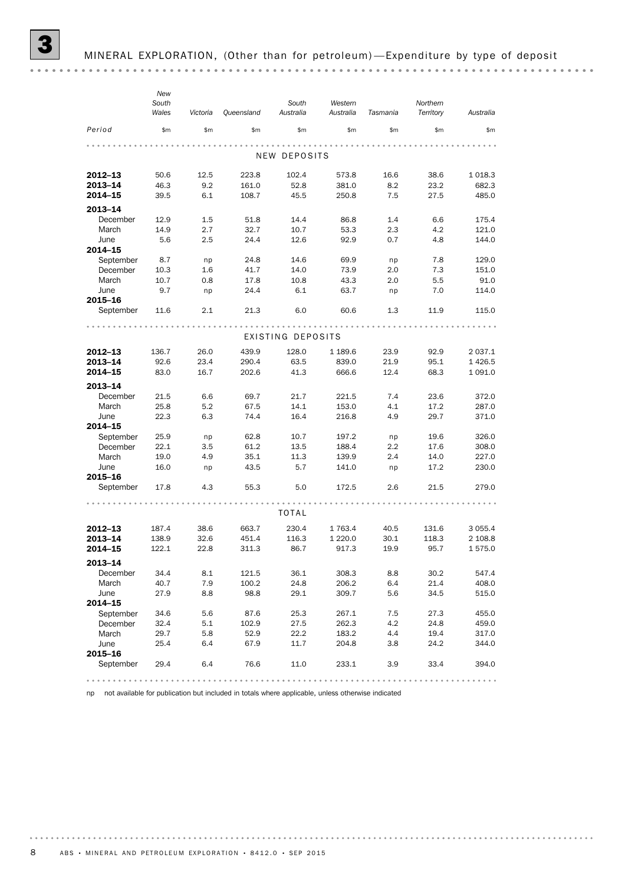|                      | New<br>South<br>Wales | Victoria | Queensland | South<br>Australia | Western<br>Australia | Tasmania | Northern<br>Territory | Australia   |
|----------------------|-----------------------|----------|------------|--------------------|----------------------|----------|-----------------------|-------------|
| Period               | \$m\$                 | \$m      | \$m\$      | \$m                | \$m\$                | \$m      | \$m                   | \$m         |
|                      |                       |          |            | NEW DEPOSITS       |                      |          |                       |             |
| 2012-13              | 50.6                  | 12.5     | 223.8      | 102.4              | 573.8                | 16.6     | 38.6                  | 1018.3      |
| 2013-14              | 46.3                  | 9.2      | 161.0      | 52.8               | 381.0                | 8.2      | 23.2                  | 682.3       |
| 2014-15              | 39.5                  | 6.1      | 108.7      | 45.5               | 250.8                | 7.5      | 27.5                  | 485.0       |
| 2013-14              |                       |          |            |                    |                      |          |                       |             |
| December             | 12.9                  | 1.5      | 51.8       | 14.4               | 86.8                 | 1.4      | 6.6                   | 175.4       |
| March                | 14.9                  | 2.7      | 32.7       | 10.7               | 53.3                 | 2.3      | 4.2                   | 121.0       |
| June<br>2014-15      | 5.6                   | 2.5      | 24.4       | 12.6               | 92.9                 | 0.7      | 4.8                   | 144.0       |
| September            | 8.7                   | np       | 24.8       | 14.6               | 69.9                 | np       | 7.8                   | 129.0       |
| December             | 10.3                  | 1.6      | 41.7       | 14.0               | 73.9                 | 2.0      | 7.3                   | 151.0       |
| March                | 10.7                  | 0.8      | 17.8       | 10.8               | 43.3                 | 2.0      | 5.5                   | 91.0        |
| June<br>2015-16      | 9.7                   | np       | 24.4       | 6.1                | 63.7                 | np       | 7.0                   | 114.0       |
| September            | 11.6                  | 2.1      | 21.3       | 6.0                | 60.6                 | 1.3      | 11.9                  | 115.0       |
|                      |                       |          |            |                    |                      |          |                       |             |
|                      |                       |          |            | EXISTING DEPOSITS  |                      |          |                       |             |
| 2012-13              | 136.7                 | 26.0     | 439.9      | 128.0              | 1 189.6              | 23.9     | 92.9                  | 2 0 3 7 . 1 |
| 2013-14              | 92.6                  | 23.4     | 290.4      | 63.5               | 839.0                | 21.9     | 95.1                  | 1426.5      |
| 2014-15              | 83.0                  | 16.7     | 202.6      | 41.3               | 666.6                | 12.4     | 68.3                  | 1 0 9 1.0   |
| 2013-14              |                       |          |            |                    |                      |          |                       |             |
| December             | 21.5                  | 6.6      | 69.7       | 21.7               | 221.5                | 7.4      | 23.6                  | 372.0       |
| March                | 25.8                  | 5.2      | 67.5       | 14.1               | 153.0                | 4.1      | 17.2                  | 287.0       |
| June                 | 22.3                  | 6.3      | 74.4       | 16.4               | 216.8                | 4.9      | 29.7                  | 371.0       |
| 2014-15              |                       |          |            |                    |                      |          |                       |             |
| September            | 25.9                  | np       | 62.8       | 10.7               | 197.2                | np       | 19.6                  | 326.0       |
| December             | 22.1                  | 3.5      | 61.2       | 13.5               | 188.4                | $2.2\,$  | 17.6                  | 308.0       |
| March                | 19.0                  | 4.9      | 35.1       | 11.3               | 139.9                | 2.4      | 14.0                  | 227.0       |
| June                 | 16.0                  | np       | 43.5       | 5.7                | 141.0                | np       | 17.2                  | 230.0       |
| 2015-16<br>September | 17.8                  | 4.3      | 55.3       | 5.0                | 172.5                | 2.6      | 21.5                  | 279.0       |
|                      |                       |          |            |                    |                      |          |                       |             |
|                      |                       |          |            | <b>TOTAL</b>       |                      |          |                       |             |
| 2012-13              | 187.4                 | 38.6     | 663.7      | 230.4              | 1 763.4              | 40.5     | 131.6                 | 3 0 5 5.4   |
| 2013-14              | 138.9                 | 32.6     | 451.4      | 116.3              | 1 2 2 0 .0           | 30.1     | 118.3                 | 2 108.8     |
| 2014-15              | 122.1                 | 22.8     | 311.3      | 86.7               | 917.3                | 19.9     | 95.7                  | 1575.0      |
| 2013-14              |                       |          |            |                    |                      |          |                       |             |
| December             | 34.4                  | 8.1      | 121.5      | 36.1               | 308.3                | 8.8      | 30.2                  | 547.4       |
| March                | 40.7                  | 7.9      | 100.2      | 24.8               | 206.2                | 6.4      | 21.4                  | 408.0       |
| June                 | 27.9                  | 8.8      | 98.8       | 29.1               | 309.7                | 5.6      | 34.5                  | 515.0       |
| 2014-15              |                       |          |            |                    |                      |          |                       |             |
| September            | 34.6                  | 5.6      | 87.6       | 25.3               | 267.1                | 7.5      | 27.3                  | 455.0       |
| December             | 32.4                  | 5.1      | 102.9      | 27.5               | 262.3                | 4.2      | 24.8                  | 459.0       |
| March                | 29.7                  | 5.8      | 52.9       | 22.2               | 183.2                | 4.4      | 19.4                  | 317.0       |
| June                 | 25.4                  | 6.4      | 67.9       | 11.7               | 204.8                | 3.8      | 24.2                  | 344.0       |
| 2015-16              |                       |          |            |                    |                      |          |                       |             |
| September            | 29.4                  | 6.4      | 76.6       | 11.0               | 233.1                | 3.9      | 33.4                  | 394.0       |
|                      |                       |          |            |                    |                      | .        |                       |             |

np not available for publication but included in totals where applicable, unless otherwise indicated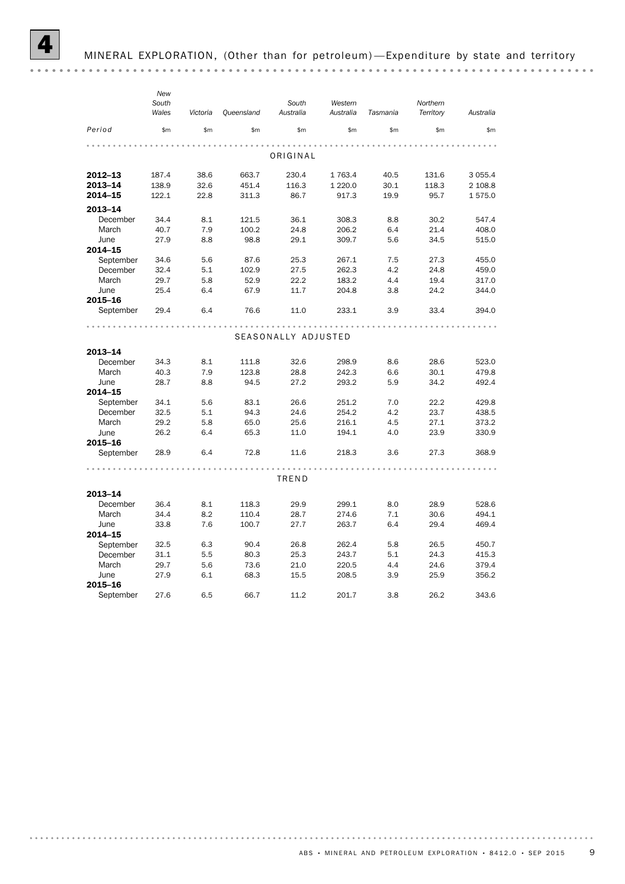|           | New   |          |            |                     |             |          |           |           |
|-----------|-------|----------|------------|---------------------|-------------|----------|-----------|-----------|
|           | South |          |            | South               | Western     |          | Northern  |           |
|           | Wales | Victoria | Queensland | Australia           | Australia   | Tasmania | Territory | Australia |
| Period    | \$m   | \$m\$    | \$m\$      | \$m\$               | \$m\$       | \$m\$    | \$m\$     | \$m\$     |
|           |       |          |            |                     |             |          |           |           |
|           |       |          |            | ORIGINAL            |             |          |           |           |
| 2012-13   | 187.4 | 38.6     | 663.7      | 230.4               | 1 763.4     | 40.5     | 131.6     | 3 0 5 5.4 |
| 2013-14   | 138.9 | 32.6     | 451.4      | 116.3               | 1 2 2 0 . 0 | 30.1     | 118.3     | 2 108.8   |
| 2014-15   | 122.1 | 22.8     | 311.3      | 86.7                | 917.3       | 19.9     | 95.7      | 1575.0    |
| 2013-14   |       |          |            |                     |             |          |           |           |
| December  | 34.4  | 8.1      | 121.5      | 36.1                | 308.3       | 8.8      | 30.2      | 547.4     |
| March     | 40.7  | 7.9      | 100.2      | 24.8                | 206.2       | 6.4      | 21.4      | 408.0     |
| June      | 27.9  | 8.8      | 98.8       | 29.1                | 309.7       | 5.6      | 34.5      | 515.0     |
| 2014-15   |       |          |            |                     |             |          |           |           |
| September | 34.6  | 5.6      | 87.6       | 25.3                | 267.1       | 7.5      | 27.3      | 455.0     |
| December  | 32.4  | 5.1      | 102.9      | 27.5                | 262.3       | 4.2      | 24.8      | 459.0     |
| March     | 29.7  | 5.8      | 52.9       | 22.2                | 183.2       | 4.4      | 19.4      | 317.0     |
| June      | 25.4  | 6.4      | 67.9       | 11.7                | 204.8       | 3.8      | 24.2      | 344.0     |
| 2015-16   |       |          |            |                     |             |          |           |           |
| September | 29.4  | 6.4      | 76.6       | 11.0                | 233.1       | 3.9      | 33.4      | 394.0     |
|           |       |          |            |                     |             |          |           |           |
|           |       |          |            | SEASONALLY ADJUSTED |             |          |           |           |
| 2013-14   |       |          |            |                     |             |          |           |           |
| December  | 34.3  | 8.1      | 111.8      | 32.6                | 298.9       | 8.6      | 28.6      | 523.0     |
| March     | 40.3  | 7.9      | 123.8      | 28.8                | 242.3       | 6.6      | 30.1      | 479.8     |
| June      | 28.7  | 8.8      | 94.5       | 27.2                | 293.2       | 5.9      | 34.2      | 492.4     |
| 2014-15   |       |          |            |                     |             |          |           |           |
| September | 34.1  | 5.6      | 83.1       | 26.6                | 251.2       | 7.0      | 22.2      | 429.8     |
| December  | 32.5  | 5.1      | 94.3       | 24.6                | 254.2       | 4.2      | 23.7      | 438.5     |
| March     | 29.2  | 5.8      | 65.0       | 25.6                | 216.1       | 4.5      | 27.1      | 373.2     |
| June      | 26.2  | 6.4      | 65.3       | 11.0                | 194.1       | 4.0      | 23.9      | 330.9     |
| 2015-16   |       |          |            |                     |             |          |           |           |
| September | 28.9  | 6.4      | 72.8       | 11.6                | 218.3       | 3.6      | 27.3      | 368.9     |
|           |       |          |            |                     |             |          |           |           |
|           |       |          |            | TREND               |             |          |           |           |
| 2013-14   |       |          |            |                     |             |          |           |           |
| December  | 36.4  | 8.1      | 118.3      | 29.9                | 299.1       | 8.0      | 28.9      | 528.6     |
| March     | 34.4  | 8.2      | 110.4      | 28.7                | 274.6       | 7.1      | 30.6      | 494.1     |
| June      | 33.8  | 7.6      | 100.7      | 27.7                | 263.7       | 6.4      | 29.4      | 469.4     |
| 2014-15   |       |          |            |                     |             |          |           |           |
| September | 32.5  | 6.3      | 90.4       | 26.8                | 262.4       | 5.8      | 26.5      | 450.7     |
| December  | 31.1  | 5.5      | 80.3       | 25.3                | 243.7       | 5.1      | 24.3      | 415.3     |
| March     | 29.7  | 5.6      | 73.6       | 21.0                | 220.5       | 4.4      | 24.6      | 379.4     |
| June      | 27.9  | 6.1      | 68.3       | 15.5                | 208.5       | 3.9      | 25.9      | 356.2     |
| 2015-16   |       |          |            |                     |             |          |           |           |
| September | 27.6  | 6.5      | 66.7       | 11.2                | 201.7       | 3.8      | 26.2      | 343.6     |

ABS • MINERAL AND PETROLEUM EXPLORATION • 8412.0 • SEP 2015 9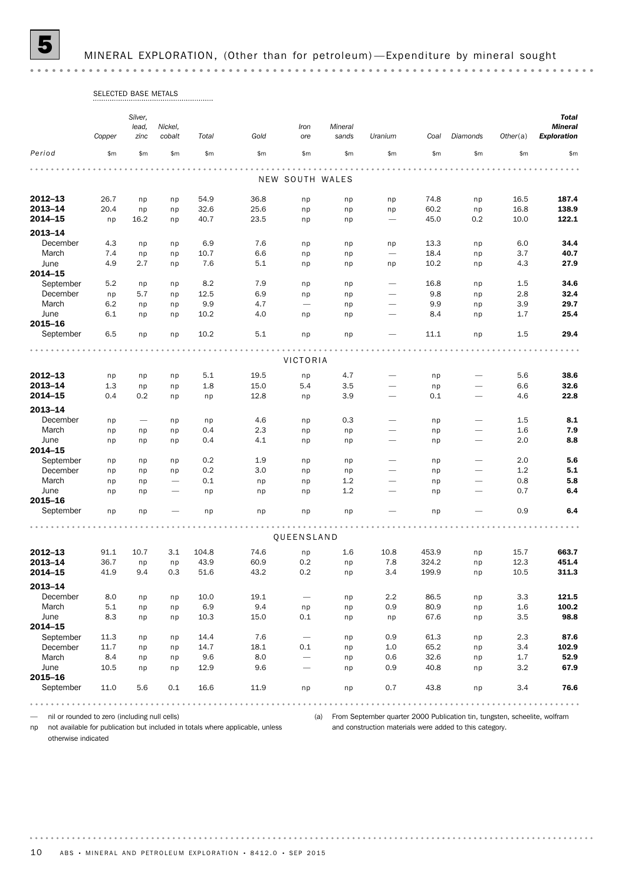5 MINERAL EXPLORATION, (Other than for petroleum) —Expenditure by mineral sought

|                    | SELECTED BASE METALS |                          |                          |              |              |                          |            |                          |              |           |              |                    |
|--------------------|----------------------|--------------------------|--------------------------|--------------|--------------|--------------------------|------------|--------------------------|--------------|-----------|--------------|--------------------|
|                    |                      | Silver,                  |                          |              |              |                          |            |                          |              |           |              | <b>Total</b>       |
|                    |                      | lead,                    | Nickel,                  |              |              | Iron                     | Mineral    |                          |              |           |              | <b>Mineral</b>     |
|                    | Copper               | zinc                     | cobalt                   | Total        | Gold         | ore                      | sands      | Uranium                  | Coal         | Diamonds  | Other(a)     | <b>Exploration</b> |
| Period             | \$m\$                | \$m                      | \$m                      | \$m          | \$m          | \$m\$                    | \$m        | \$m                      | \$m\$        | \$m       | \$m          | \$m                |
|                    |                      |                          |                          |              |              | NEW SOUTH WALES          |            |                          |              |           |              |                    |
|                    |                      |                          |                          |              |              |                          |            |                          |              |           |              |                    |
| 2012-13            | 26.7                 | np                       | np                       | 54.9         | 36.8         | np                       | np         | np                       | 74.8         | np        | 16.5         | 187.4              |
| 2013-14<br>2014-15 | 20.4<br>np           | np<br>16.2               | np<br>np                 | 32.6<br>40.7 | 25.6<br>23.5 | np<br>np                 | np<br>np   | np                       | 60.2<br>45.0 | np<br>0.2 | 16.8<br>10.0 | 138.9<br>122.1     |
|                    |                      |                          |                          |              |              |                          |            |                          |              |           |              |                    |
| $2013 - 14$        |                      |                          |                          |              |              |                          |            |                          |              |           |              |                    |
| December           | 4.3                  | np                       | np                       | 6.9          | 7.6          | np                       | np         | np                       | 13.3         | np        | 6.0          | 34.4               |
| March              | 7.4                  | np                       | np                       | 10.7         | 6.6          | np                       | np         |                          | 18.4         | np        | 3.7          | 40.7               |
| June<br>2014-15    | 4.9                  | 2.7                      | np                       | 7.6          | 5.1          | np                       | np         | np                       | 10.2         | np        | 4.3          | 27.9               |
| September          | 5.2                  | np                       | np                       | 8.2          | 7.9          | np                       | np         |                          | 16.8         | np        | 1.5          | 34.6               |
| December           | np                   | 5.7                      | np                       | 12.5         | 6.9          | np                       | np         |                          | 9.8          | np        | 2.8          | 32.4               |
| March              | 6.2                  | np                       | np                       | 9.9          | 4.7          | $\overline{\phantom{m}}$ | np         | $\overline{\phantom{0}}$ | 9.9          | np        | 3.9          | 29.7               |
| June               | 6.1                  | np                       | np                       | 10.2         | 4.0          | np                       | np         |                          | 8.4          | np        | 1.7          | 25.4               |
| 2015-16            |                      |                          |                          |              |              |                          |            |                          |              |           |              |                    |
| September          | 6.5                  | np                       | np                       | 10.2         | 5.1          | np                       | np         |                          | 11.1         | np        | 1.5          | 29.4               |
|                    |                      |                          |                          |              |              | VICTORIA                 |            |                          |              |           |              |                    |
| 2012-13            |                      |                          |                          |              | 19.5         |                          |            |                          |              |           | 5.6          | 38.6               |
| 2013-14            | np<br>1.3            | np<br>np                 | np                       | 5.1<br>1.8   | 15.0         | np<br>5.4                | 4.7<br>3.5 | $\overline{\phantom{0}}$ | np<br>np     | -         | 6.6          | 32.6               |
| 2014-15            | 0.4                  | 0.2                      | np<br>np                 | np           | 12.8         | np                       | 3.9        |                          | 0.1          |           | 4.6          | 22.8               |
|                    |                      |                          |                          |              |              |                          |            |                          |              |           |              |                    |
| 2013-14            |                      |                          |                          |              |              |                          |            |                          |              |           |              |                    |
| December           | np                   | $\overline{\phantom{0}}$ | np                       | np           | 4.6          | np                       | 0.3        |                          | np           |           | 1.5          | 8.1                |
| March<br>June      | np<br>np             | np<br>np                 | np<br>np                 | 0.4<br>0.4   | 2.3<br>4.1   | np<br>np                 | np<br>np   |                          | np<br>np     |           | 1.6<br>2.0   | 7.9<br>8.8         |
| 2014-15            |                      |                          |                          |              |              |                          |            |                          |              |           |              |                    |
| September          | np                   | np                       | np                       | 0.2          | 1.9          | np                       | np         |                          | np           |           | 2.0          | 5.6                |
| December           | np                   | np                       | np                       | 0.2          | 3.0          | np                       | np         |                          | np           |           | 1.2          | 5.1                |
| March              | np                   | np                       | $\overline{\phantom{0}}$ | 0.1          | np           | np                       | 1.2        |                          | np           | -         | 0.8          | 5.8                |
| June               | np                   | np                       |                          | np           | np           | np                       | 1.2        |                          | np           |           | 0.7          | 6.4                |
| 2015-16            |                      |                          |                          |              |              |                          |            |                          |              |           |              |                    |
| September          | np                   | np                       |                          | np           | np           | np                       | np         |                          | np           |           | 0.9          | 6.4                |
|                    |                      |                          |                          |              |              | QUEENSLAND               |            |                          |              |           |              |                    |
| 2012-13            | 91.1                 | 10.7                     | 3.1                      | 104.8        | 74.6         |                          | 1.6        | 10.8                     | 453.9        |           | 15.7         | 663.7              |
| 2013-14            | 36.7                 | np                       | np                       | 43.9         | 60.9         | np<br>0.2                | np         | 7.8                      | 324.2        | np<br>np  | 12.3         | 451.4              |
| 2014-15            | 41.9                 | 9.4                      | 0.3                      | 51.6         | 43.2         | 0.2                      | np         | 3.4                      | 199.9        | np        | 10.5         | 311.3              |
| 2013-14            |                      |                          |                          |              |              |                          |            |                          |              |           |              |                    |
| December           | 8.0                  | np                       | np                       | 10.0         | 19.1         | $\overline{\phantom{m}}$ | np         | 2.2                      | 86.5         | np        | 3.3          | 121.5              |
| March              | 5.1                  | np                       | np                       | 6.9          | 9.4          | np                       | np         | 0.9                      | 80.9         | np        | 1.6          | 100.2              |
| June               | 8.3                  | np                       | np                       | 10.3         | 15.0         | 0.1                      | np         | np                       | 67.6         | np        | 3.5          | 98.8               |
| 2014-15            |                      |                          |                          |              |              |                          |            |                          |              |           |              |                    |
| September          | 11.3                 | np                       | np                       | 14.4         | 7.6          | $\overline{\phantom{m}}$ | np         | 0.9                      | 61.3         | np        | 2.3          | 87.6               |
| December           | 11.7                 | np                       | np                       | 14.7         | 18.1         | 0.1                      | np         | $1.0\,$                  | 65.2         | np        | 3.4          | 102.9              |
| March              | 8.4                  | np                       | np                       | 9.6          | 8.0          |                          | np         | 0.6                      | 32.6         | np        | 1.7          | 52.9               |
| June               | 10.5                 | np                       | np                       | 12.9         | 9.6          | $\overline{\phantom{0}}$ | np         | 0.9                      | 40.8         | np        | 3.2          | 67.9               |
| 2015-16            |                      |                          |                          |              |              |                          |            |                          |              |           |              |                    |
| September          | 11.0                 | 5.6                      | 0.1                      | 16.6         | 11.9         | np                       | np         | 0.7                      | 43.8         | np        | 3.4          | 76.6               |
|                    |                      |                          |                          |              | .            |                          |            |                          |              |           |              | .                  |

— nil or rounded to zero (including null cells)

(a) From September quarter 2000 Publication tin, tungsten, scheelite, wolfram and construction materials were added to this category.

np not available for publication but included in totals where applicable, unless otherwise indicated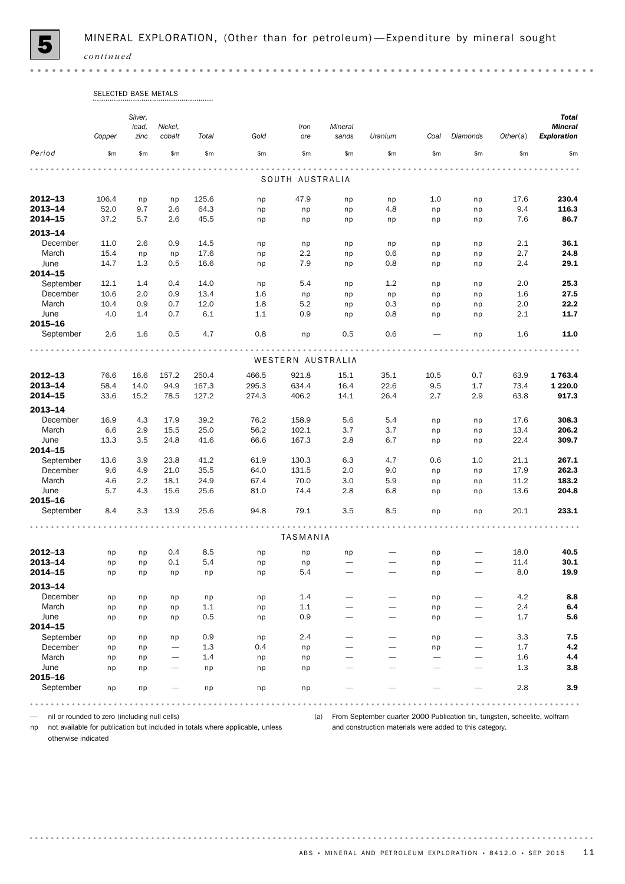

| SELECTED BASE METALS |  |
|----------------------|--|
|                      |  |

|                      |        | Silver,<br>lead, | Nickel, |       |       | Iron              | Mineral                  |         |       |                              |          | <b>Total</b><br><b>Mineral</b> |
|----------------------|--------|------------------|---------|-------|-------|-------------------|--------------------------|---------|-------|------------------------------|----------|--------------------------------|
|                      | Copper | zinc             | cobalt  | Total | Gold  | ore               | sands                    | Uranium | Coal  | Diamonds                     | Other(a) | <b>Exploration</b>             |
| Period               | \$m\$  | \$m\$            | \$m\$   | \$m\$ | \$m\$ | \$m\$             | \$m                      | \$m\$   | \$m\$ | \$m\$                        | \$m\$    | \$m                            |
|                      |        |                  |         |       |       | SOUTH AUSTRALIA   |                          |         |       |                              |          |                                |
| $2012 - 13$          | 106.4  | np               | np      | 125.6 | np    | 47.9              | np                       | np      | 1.0   | np                           | 17.6     | 230.4                          |
| 2013-14              | 52.0   | 9.7              | 2.6     | 64.3  | np    | np                | np                       | 4.8     | np    | np                           | 9.4      | 116.3                          |
| 2014-15              | 37.2   | 5.7              | 2.6     | 45.5  | np    | np                | np                       | np      | np    | np                           | 7.6      | 86.7                           |
| 2013-14              |        |                  |         |       |       |                   |                          |         |       |                              |          |                                |
| December             | 11.0   | 2.6              | 0.9     | 14.5  | np    | np                | np                       | np      | np    | np                           | 2.1      | 36.1                           |
| March                | 15.4   | np               | np      | 17.6  | np    | 2.2               | np                       | 0.6     | np    | np                           | 2.7      | 24.8                           |
| June                 | 14.7   | 1.3              | 0.5     | 16.6  | np    | 7.9               | np                       | 0.8     | np    | np                           | 2.4      | 29.1                           |
| 2014-15              |        |                  |         |       |       |                   |                          |         |       |                              |          |                                |
| September            | 12.1   | 1.4              | 0.4     | 14.0  | np    | 5.4               | np                       | 1.2     | np    | np                           | 2.0      | 25.3                           |
| December             | 10.6   | 2.0              | 0.9     | 13.4  | 1.6   | np                | np                       | np      | np    | np                           | 1.6      | 27.5                           |
| March                | 10.4   | 0.9              | 0.7     | 12.0  | 1.8   | 5.2               | np                       | 0.3     | np    | np                           | 2.0      | 22.2                           |
| June                 | 4.0    | 1.4              | 0.7     | 6.1   | 1.1   | 0.9               | np                       | 0.8     | np    | np                           | 2.1      | 11.7                           |
| 2015-16<br>September | 2.6    | 1.6              | 0.5     | 4.7   | 0.8   | np                | 0.5                      | 0.6     |       | np                           | 1.6      | 11.0                           |
|                      |        |                  |         | .     |       |                   |                          |         |       |                              |          |                                |
|                      |        |                  |         |       |       | WESTERN AUSTRALIA |                          |         |       |                              |          |                                |
| 2012-13              | 76.6   | 16.6             | 157.2   | 250.4 | 466.5 | 921.8             | 15.1                     | 35.1    | 10.5  | 0.7                          | 63.9     | 1763.4                         |
| 2013-14              | 58.4   | 14.0             | 94.9    | 167.3 | 295.3 | 634.4             | 16.4                     | 22.6    | 9.5   | 1.7                          | 73.4     | 1 2 2 0 . 0                    |
| 2014-15              | 33.6   | 15.2             | 78.5    | 127.2 | 274.3 | 406.2             | 14.1                     | 26.4    | 2.7   | 2.9                          | 63.8     | 917.3                          |
| 2013-14              |        |                  |         |       |       |                   |                          |         |       |                              |          |                                |
| December             | 16.9   | 4.3              | 17.9    | 39.2  | 76.2  | 158.9             | 5.6                      | 5.4     | np    | np                           | 17.6     | 308.3                          |
| March                | 6.6    | 2.9              | 15.5    | 25.0  | 56.2  | 102.1             | 3.7                      | 3.7     | np    | np                           | 13.4     | 206.2                          |
| June                 | 13.3   | 3.5              | 24.8    | 41.6  | 66.6  | 167.3             | 2.8                      | 6.7     | np    | np                           | 22.4     | 309.7                          |
| 2014-15              |        |                  |         |       |       |                   |                          |         |       |                              |          |                                |
| September            | 13.6   | 3.9              | 23.8    | 41.2  | 61.9  | 130.3             | 6.3                      | 4.7     | 0.6   | 1.0                          | 21.1     | 267.1                          |
| December             | 9.6    | 4.9              | 21.0    | 35.5  | 64.0  | 131.5             | 2.0                      | 9.0     | np    | np                           | 17.9     | 262.3                          |
| March                | 4.6    | 2.2              | 18.1    | 24.9  | 67.4  | 70.0              | 3.0                      | 5.9     | np    | np                           | 11.2     | 183.2                          |
| June                 | 5.7    | 4.3              | 15.6    | 25.6  | 81.0  | 74.4              | 2.8                      | 6.8     | np    | np                           | 13.6     | 204.8                          |
| 2015-16              |        |                  |         |       |       |                   |                          |         |       |                              |          |                                |
| September            | 8.4    | 3.3              | 13.9    | 25.6  | 94.8  | 79.1              | 3.5                      | 8.5     | np    | np                           | 20.1     | 233.1                          |
|                      |        |                  |         |       |       | TASMANIA          |                          |         |       |                              |          |                                |
| 2012-13              | np     | np               | 0.4     | 8.5   | np    | np                | np                       |         | np    | $\overbrace{\qquad \qquad }$ | 18.0     | 40.5                           |
| 2013-14              | np     | np               | 0.1     | 5.4   | np    | np                | $\overline{\phantom{0}}$ |         | np    | $\overbrace{\qquad \qquad }$ | 11.4     | 30.1                           |
| 2014-15              | np     | np               | np      | np    | np    | 5.4               | $\qquad \qquad -$        |         | np    |                              | 8.0      | 19.9                           |
| 2013-14              |        |                  |         |       |       |                   |                          |         |       |                              |          |                                |
| December             | np     | np               | np      | np    | np    | 1.4               |                          |         | np    |                              | 4.2      | 8.8                            |
| March                | np     | np               | np      | 1.1   | np    | 1.1               |                          |         | np    | -                            | 2.4      | 6.4                            |
| June<br>2014-15      | np     | np               | np      | 0.5   | np    | 0.9               |                          |         | np    |                              | 1.7      | 5.6                            |
| September            | np     | np               | np      | 0.9   | np    | 2.4               |                          |         | np    |                              | 3.3      | 7.5                            |
| December             | np     | np               |         | 1.3   | 0.4   | np                |                          |         | np    |                              | 1.7      | 4.2                            |
| March                | np     | np               |         | 1.4   | np    | np                |                          |         |       | -                            | 1.6      | 4.4                            |
| June                 | np     | np               |         | np    | np    | np                |                          |         |       |                              | 1.3      | 3.8                            |
| 2015-16              |        |                  |         |       |       |                   |                          |         |       |                              |          |                                |
| September            | np     | np               |         | np    | np    | np                |                          |         |       |                              | 2.8      | 3.9                            |
|                      |        |                  |         |       |       |                   |                          |         |       |                              |          |                                |

— nil or rounded to zero (including null cells)

np not available for publication but included in totals where applicable, unless

(a) From September quarter 2000 Publication tin, tungsten, scheelite, wolfram and construction materials were added to this category.

otherwise indicated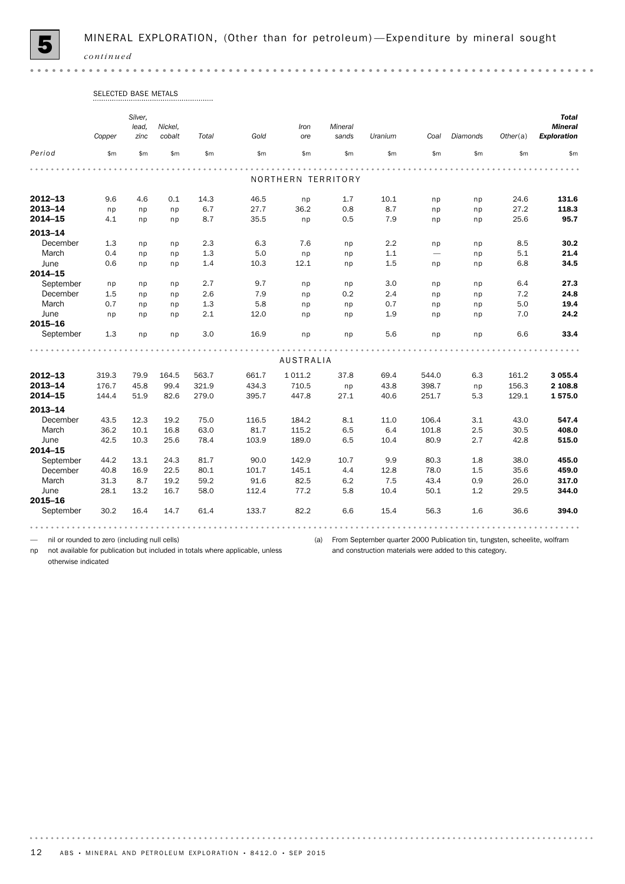

 $0.000$ 

|             | Copper | Silver,<br>lead,<br>zinc | Nickel,<br>cobalt | Total | Gold  | Iron<br>ore        | Mineral<br>sands | Uranium | Coal                     | Diamonds | Other(a) | <b>Total</b><br><b>Mineral</b><br><b>Exploration</b> |
|-------------|--------|--------------------------|-------------------|-------|-------|--------------------|------------------|---------|--------------------------|----------|----------|------------------------------------------------------|
| Period      | \$m    | \$m\$                    | \$m\$             | \$m   | \$m\$ | \$m                | \$m\$            | \$m\$   | \$m                      | \$m      | \$m      | \$m                                                  |
|             |        |                          |                   |       |       |                    |                  |         |                          |          |          |                                                      |
|             |        |                          |                   |       |       | NORTHERN TERRITORY |                  |         |                          |          |          |                                                      |
| $2012 - 13$ | 9.6    | 4.6                      | 0.1               | 14.3  | 46.5  | np                 | 1.7              | 10.1    | np                       | np       | 24.6     | 131.6                                                |
| $2013 - 14$ | np     | np                       | np                | 6.7   | 27.7  | 36.2               | 0.8              | 8.7     | np                       | np       | 27.2     | 118.3                                                |
| 2014-15     | 4.1    | np                       | np                | 8.7   | 35.5  | np                 | 0.5              | 7.9     | np                       | np       | 25.6     | 95.7                                                 |
| $2013 - 14$ |        |                          |                   |       |       |                    |                  |         |                          |          |          |                                                      |
| December    | 1.3    | np                       | np                | 2.3   | 6.3   | 7.6                | np               | 2.2     | np                       | np       | 8.5      | 30.2                                                 |
| March       | 0.4    | np                       | np                | 1.3   | 5.0   | np                 | np               | 1.1     | $\overline{\phantom{0}}$ | np       | 5.1      | 21.4                                                 |
| June        | 0.6    | np                       | np                | 1.4   | 10.3  | 12.1               | np               | 1.5     | np                       | np       | 6.8      | 34.5                                                 |
| 2014-15     |        |                          |                   |       |       |                    |                  |         |                          |          |          |                                                      |
| September   | np     | np                       | np                | 2.7   | 9.7   | np                 | np               | 3.0     | np                       | np       | 6.4      | 27.3                                                 |
| December    | 1.5    | np                       | np                | 2.6   | 7.9   | np                 | 0.2              | 2.4     | np                       | np       | 7.2      | 24.8                                                 |
| March       | 0.7    | np                       | np                | 1.3   | 5.8   | np                 | np               | 0.7     | np                       | np       | 5.0      | 19.4                                                 |
| June        | np     | np                       | np                | 2.1   | 12.0  | np                 | np               | 1.9     | np                       | np       | 7.0      | 24.2                                                 |
| 2015-16     |        |                          |                   |       |       |                    |                  |         |                          |          |          |                                                      |
| September   | 1.3    | np                       | np                | 3.0   | 16.9  | np                 | np               | 5.6     | np                       | np       | 6.6      | 33.4                                                 |
|             |        |                          |                   |       |       |                    |                  |         |                          |          |          |                                                      |
|             |        |                          |                   |       |       | <b>AUSTRALIA</b>   |                  |         |                          |          |          |                                                      |
| $2012 - 13$ | 319.3  | 79.9                     | 164.5             | 563.7 | 661.7 | 1 0 1 1.2          | 37.8             | 69.4    | 544.0                    | 6.3      | 161.2    | 3 0 5 5.4                                            |
| 2013-14     | 176.7  | 45.8                     | 99.4              | 321.9 | 434.3 | 710.5              | np               | 43.8    | 398.7                    | np       | 156.3    | 2 108.8                                              |
| 2014-15     | 144.4  | 51.9                     | 82.6              | 279.0 | 395.7 | 447.8              | 27.1             | 40.6    | 251.7                    | 5.3      | 129.1    | 1575.0                                               |
| 2013-14     |        |                          |                   |       |       |                    |                  |         |                          |          |          |                                                      |
| December    | 43.5   | 12.3                     | 19.2              | 75.0  | 116.5 | 184.2              | 8.1              | 11.0    | 106.4                    | 3.1      | 43.0     | 547.4                                                |
| March       | 36.2   | 10.1                     | 16.8              | 63.0  | 81.7  | 115.2              | 6.5              | 6.4     | 101.8                    | 2.5      | 30.5     | 408.0                                                |
| June        | 42.5   | 10.3                     | 25.6              | 78.4  | 103.9 | 189.0              | 6.5              | 10.4    | 80.9                     | 2.7      | 42.8     | 515.0                                                |
| 2014-15     |        |                          |                   |       |       |                    |                  |         |                          |          |          |                                                      |
| September   | 44.2   | 13.1                     | 24.3              | 81.7  | 90.0  | 142.9              | 10.7             | 9.9     | 80.3                     | 1.8      | 38.0     | 455.0                                                |
| December    | 40.8   | 16.9                     | 22.5              | 80.1  | 101.7 | 145.1              | 4.4              | 12.8    | 78.0                     | 1.5      | 35.6     | 459.0                                                |
| March       | 31.3   | 8.7                      | 19.2              | 59.2  | 91.6  | 82.5               | 6.2              | 7.5     | 43.4                     | 0.9      | 26.0     | 317.0                                                |
| June        | 28.1   | 13.2                     | 16.7              | 58.0  | 112.4 | 77.2               | 5.8              | 10.4    | 50.1                     | 1.2      | 29.5     | 344.0                                                |
| 2015-16     |        |                          |                   |       |       |                    |                  |         |                          |          |          |                                                      |
| September   | 30.2   | 16.4                     | 14.7              | 61.4  | 133.7 | 82.2               | 6.6              | 15.4    | 56.3                     | 1.6      | 36.6     | 394.0                                                |

# SELECTED BASE METALS

— nil or rounded to zero (including null cells)

np not available for publication but included in totals where applicable, unless

(a) From September quarter 2000 Publication tin, tungsten, scheelite, wolfram and construction materials were added to this category.

otherwise indicated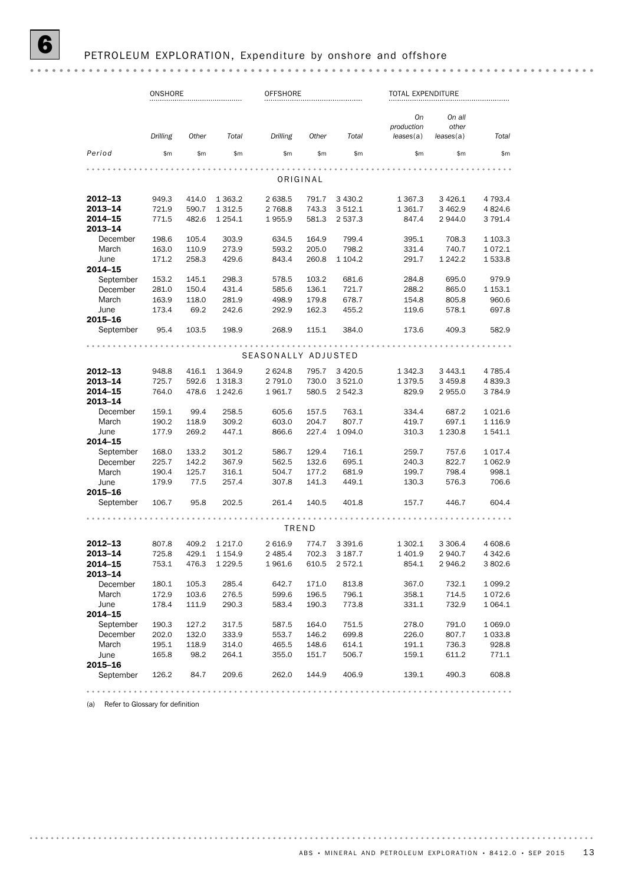|                       | ONSHORE        |                |                |                     | <b>OFFSHORE</b> |                |                  | TOTAL EXPENDITURE |                     |  |
|-----------------------|----------------|----------------|----------------|---------------------|-----------------|----------------|------------------|-------------------|---------------------|--|
|                       |                |                |                |                     |                 |                | On<br>production | On all<br>other   |                     |  |
|                       | Drilling       | Other          | Total          | Drilling            | Other           | Total          | leases(a)        | leases(a)         | Total               |  |
| Period                | \$m            | \$m            | \$m            | \$m                 | \$m\$           | \$m            | \$m              | \$m               | \$m\$               |  |
|                       |                |                |                |                     | ORIGINAL        |                |                  |                   |                     |  |
| $2012 - 13$           | 949.3          | 414.0          | 1 3 6 3.2      | 2 638.5             | 791.7           | 3 4 3 0.2      | 1 367.3          | 3 4 2 6.1         | 4 7 9 3.4           |  |
| 2013-14               | 721.9          | 590.7          | 1 3 1 2.5      | 2 7 68.8            | 743.3           | 3 5 1 2.1      | 1 361.7          | 3 4 6 2.9         | 4 8 24.6            |  |
| 2014-15<br>2013-14    | 771.5          | 482.6          | 1 254.1        | 1955.9              | 581.3           | 2 537.3        | 847.4            | 2 944.0           | 3 791.4             |  |
| December              | 198.6          | 105.4          | 303.9          | 634.5               | 164.9           | 799.4          | 395.1            | 708.3             | 1 1 0 3 . 3         |  |
| March                 | 163.0          | 110.9          | 273.9          | 593.2               | 205.0           | 798.2          | 331.4            | 740.7             | 1072.1              |  |
| June<br>2014-15       | 171.2          | 258.3          | 429.6          | 843.4               | 260.8           | 1 104.2        | 291.7            | 1 242.2           | 1 533.8             |  |
| September             | 153.2          | 145.1          | 298.3          | 578.5               | 103.2           | 681.6          | 284.8            | 695.0             | 979.9               |  |
| December              | 281.0          | 150.4          | 431.4          | 585.6               | 136.1           | 721.7          | 288.2            | 865.0             | 1 1 5 3 . 1         |  |
| March                 | 163.9          | 118.0          | 281.9          | 498.9               | 179.8           | 678.7          | 154.8            | 805.8             | 960.6               |  |
| June                  | 173.4          | 69.2           | 242.6          | 292.9               | 162.3           | 455.2          | 119.6            | 578.1             | 697.8               |  |
| 2015-16               |                |                |                |                     |                 |                |                  |                   |                     |  |
| September             | 95.4           | 103.5          | 198.9          | 268.9               | 115.1           | 384.0          | 173.6            | 409.3             | 582.9               |  |
|                       |                |                |                | SEASONALLY ADJUSTED |                 |                |                  |                   |                     |  |
| $2012 - 13$           | 948.8          | 416.1          | 1 3 6 4 .9     | 2624.8              | 795.7           | 3 4 2 0.5      | 1 342.3          | 3 4 4 3.1         | 4 7 8 5.4           |  |
| 2013-14               | 725.7          | 592.6          | 1 3 1 8 . 3    | 2 791.0             | 730.0           | 3 5 2 1.0      | 1 3 7 9.5        | 3 4 5 9.8         | 4 8 3 9.3           |  |
| 2014-15               | 764.0          | 478.6          | 1 242.6        | 1961.7              | 580.5           | 2 542.3        | 829.9            | 2 955.0           | 3784.9              |  |
| 2013-14               |                |                |                |                     |                 |                |                  |                   |                     |  |
| December              | 159.1          | 99.4           | 258.5          | 605.6               | 157.5           | 763.1          | 334.4            | 687.2             | 1 0 2 1.6           |  |
| March                 | 190.2          | 118.9          | 309.2          | 603.0               | 204.7           | 807.7          | 419.7            | 697.1             | 1 1 1 6.9           |  |
| June                  | 177.9          | 269.2          | 447.1          | 866.6               | 227.4           | 1 0 9 4 .0     | 310.3            | 1 230.8           | 1541.1              |  |
| 2014-15               |                |                |                |                     | 129.4           |                |                  | 757.6             |                     |  |
| September<br>December | 168.0<br>225.7 | 133.2<br>142.2 | 301.2<br>367.9 | 586.7<br>562.5      | 132.6           | 716.1<br>695.1 | 259.7<br>240.3   | 822.7             | 1017.4<br>1 0 6 2.9 |  |
| March                 | 190.4          | 125.7          | 316.1          | 504.7               | 177.2           | 681.9          | 199.7            | 798.4             | 998.1               |  |
| June                  | 179.9          | 77.5           | 257.4          | 307.8               | 141.3           | 449.1          | 130.3            | 576.3             | 706.6               |  |
| 2015-16               |                |                |                |                     |                 |                |                  |                   |                     |  |
| September             | 106.7          | 95.8           | 202.5          | 261.4               | 140.5           | 401.8          | 157.7            | 446.7             | 604.4               |  |
|                       |                |                |                | TREND               |                 |                |                  |                   |                     |  |
| 2012-13               | 807.8          | 409.2          | 1 217.0        | 2 616.9             | 774.7           | 3 3 9 1.6      | 1 302.1          | 3 3 0 6.4         | 4 608.6             |  |
| 2013-14               | 725.8          |                | 429.1 1 1 54.9 | 2 4 8 5.4           |                 | 702.3 3 187.7  | 1 4 0 1.9        | 2 940.7           | 4 3 4 2.6           |  |
| 2014-15<br>2013-14    | 753.1          |                | 476.3 1 229.5  | 1961.6              | 610.5           | 2 572.1        | 854.1            | 2 946.2           | 3802.6              |  |
| December              | 180.1          | 105.3          | 285.4          | 642.7               | 171.0           | 813.8          | 367.0            | 732.1             | 1 0 9 9.2           |  |
| March                 | 172.9          | 103.6          | 276.5          | 599.6               | 196.5           | 796.1          | 358.1            | 714.5             | 1072.6              |  |
| June                  | 178.4          | 111.9          | 290.3          | 583.4               | 190.3           | 773.8          | 331.1            | 732.9             | 1 064.1             |  |
| 2014-15               |                |                |                |                     |                 |                |                  |                   |                     |  |
| September             | 190.3          | 127.2          | 317.5          | 587.5               | 164.0           | 751.5          | 278.0            | 791.0             | 1 0 6 9 . 0         |  |
| December              | 202.0          | 132.0          | 333.9          | 553.7               | 146.2           | 699.8          | 226.0            | 807.7             | 1033.8              |  |
| March                 | 195.1          | 118.9          | 314.0          | 465.5               | 148.6           | 614.1          | 191.1            | 736.3             | 928.8               |  |
| June<br>2015-16       | 165.8          | 98.2           | 264.1          | 355.0               | 151.7           | 506.7          | 159.1            | 611.2             | 771.1               |  |
| September             | 126.2          | 84.7           | 209.6          | 262.0               | 144.9           | 406.9          | 139.1            | 490.3             | 608.8               |  |
|                       |                |                |                |                     |                 |                |                  |                   |                     |  |

(a) Refer to Glossary for definition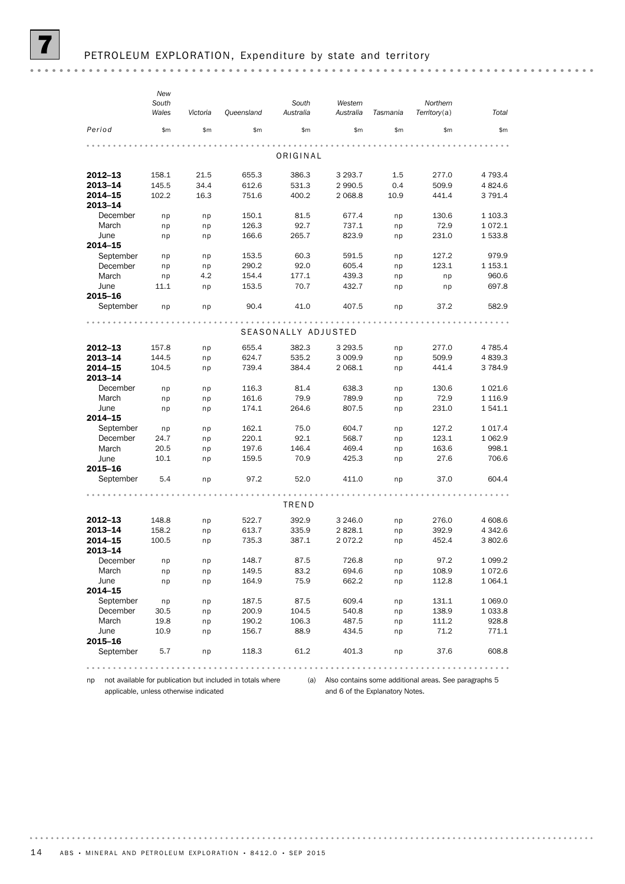|                    | New            |          |            |                     |                      |          |                          |             |
|--------------------|----------------|----------|------------|---------------------|----------------------|----------|--------------------------|-------------|
|                    | South<br>Wales | Victoria | Queensland | South<br>Australia  | Western<br>Australia | Tasmania | Northern<br>Territory(a) | Total       |
| Period             | \$m            | \$m\$    | \$m\$      | \$m\$               | \$m\$                | \$m\$    | \$m\$                    | \$m\$       |
|                    |                |          |            | ORIGINAL            |                      |          |                          |             |
|                    |                |          |            |                     |                      |          |                          |             |
| 2012-13            | 158.1          | 21.5     | 655.3      | 386.3               | 3 2 9 3.7            | 1.5      | 277.0                    | 4 7 9 3.4   |
| 2013-14            | 145.5          | 34.4     | 612.6      | 531.3               | 2 9 9 0.5            | 0.4      | 509.9                    | 4 8 24.6    |
| 2014-15<br>2013-14 | 102.2          | 16.3     | 751.6      | 400.2               | 2 0 68.8             | 10.9     | 441.4                    | 3 7 9 1.4   |
| December           | np             | np       | 150.1      | 81.5                | 677.4                | np       | 130.6                    | 1 1 0 3 . 3 |
| March              | np             | np       | 126.3      | 92.7                | 737.1                | np       | 72.9                     | 1072.1      |
| June               | np             | np       | 166.6      | 265.7               | 823.9                | np       | 231.0                    | 1533.8      |
| 2014-15            |                |          |            |                     |                      |          |                          |             |
| September          | np             | np       | 153.5      | 60.3                | 591.5                | np       | 127.2                    | 979.9       |
| December           | np             | np       | 290.2      | 92.0                | 605.4                | np       | 123.1                    | 1 1 5 3 . 1 |
| March              | np             | 4.2      | 154.4      | 177.1               | 439.3                | np       | np                       | 960.6       |
| June               | 11.1           | np       | 153.5      | 70.7                | 432.7                | np       | np                       | 697.8       |
| 2015-16            |                |          |            |                     |                      |          |                          |             |
| September          | np             | np       | 90.4       | 41.0                | 407.5                | np       | 37.2                     | 582.9       |
|                    |                |          |            |                     |                      |          |                          |             |
|                    |                |          |            | SEASONALLY ADJUSTED |                      |          |                          |             |
| 2012-13            | 157.8          | np       | 655.4      | 382.3               | 3 2 9 3 .5           | np       | 277.0                    | 4 7 8 5.4   |
| 2013-14            | 144.5          | np       | 624.7      | 535.2               | 3 0 0 9.9            | np       | 509.9                    | 4 8 3 9.3   |
| 2014-15            | 104.5          | np       | 739.4      | 384.4               | 2 0 68.1             | np       | 441.4                    | 3784.9      |
| 2013-14            |                |          |            |                     |                      |          |                          |             |
| December           | np             | np       | 116.3      | 81.4                | 638.3                | np       | 130.6                    | 1021.6      |
| March              | np             | np       | 161.6      | 79.9                | 789.9                | np       | 72.9                     | 1 1 1 6.9   |
| June               | np             | np       | 174.1      | 264.6               | 807.5                | np       | 231.0                    | 1541.1      |
| 2014-15            |                |          |            |                     |                      |          |                          |             |
| September          | np             | np       | 162.1      | 75.0                | 604.7                | np       | 127.2                    | 1 0 1 7 . 4 |
| December           | 24.7           | np       | 220.1      | 92.1                | 568.7                | np       | 123.1                    | 1 0 6 2.9   |
| March              | 20.5           | np       | 197.6      | 146.4               | 469.4                | np       | 163.6                    | 998.1       |
| June               | 10.1           | np       | 159.5      | 70.9                | 425.3                | np       | 27.6                     | 706.6       |
| 2015-16            |                |          |            |                     |                      |          |                          |             |
| September          | 5.4            | np       | 97.2       | 52.0                | 411.0                | np       | 37.0                     | 604.4       |
|                    |                |          |            |                     |                      |          |                          |             |
|                    |                |          |            | TREND               |                      |          |                          |             |
| 2012-13            | 148.8          | np       | 522.7      | 392.9               | 3 2 4 6 .0           | np       | 276.0                    | 4 608.6     |
| 2013-14            | 158.2          | np       | 613.7      | 335.9               | 2828.1               | np       | 392.9                    | 4 3 4 2.6   |
| 2014–15<br>2013-14 | 100.5          | np       | 735.3      | 387.1               | 2072.2               | np       | 452.4                    | 3802.6      |
| December           | np             | np       | 148.7      | 87.5                | 726.8                | np       | 97.2                     | 1 0 9 9.2   |
| March              | np             | np       | 149.5      | 83.2                | 694.6                | np       | 108.9                    | 1072.6      |
| June               | np             | np       | 164.9      | 75.9                | 662.2                | np       | 112.8                    | 1 0 6 4 . 1 |
| 2014-15            |                |          |            |                     |                      |          |                          |             |
| September          | np             | np       | 187.5      | 87.5                | 609.4                | np       | 131.1                    | 1 0 6 9.0   |
| December           | 30.5           | np       | 200.9      | 104.5               | 540.8                | np       | 138.9                    | 1 0 3 3.8   |
| March              | 19.8           | np       | 190.2      | 106.3               | 487.5                | np       | 111.2                    | 928.8       |
| June               | 10.9           | np       | 156.7      | 88.9                | 434.5                | np       | 71.2                     | 771.1       |
| 2015-16            |                |          |            |                     |                      |          |                          |             |
| September          | 5.7            | np       | 118.3      | 61.2                | 401.3                | np       | 37.6                     | 608.8       |
|                    |                |          |            |                     |                      |          |                          |             |
|                    |                |          |            |                     |                      |          |                          |             |

np not available for publication but included in totals where applicable, unless otherwise indicated

(a) Also contains some additional areas. See paragraphs 5 and 6 of the Explanatory Notes.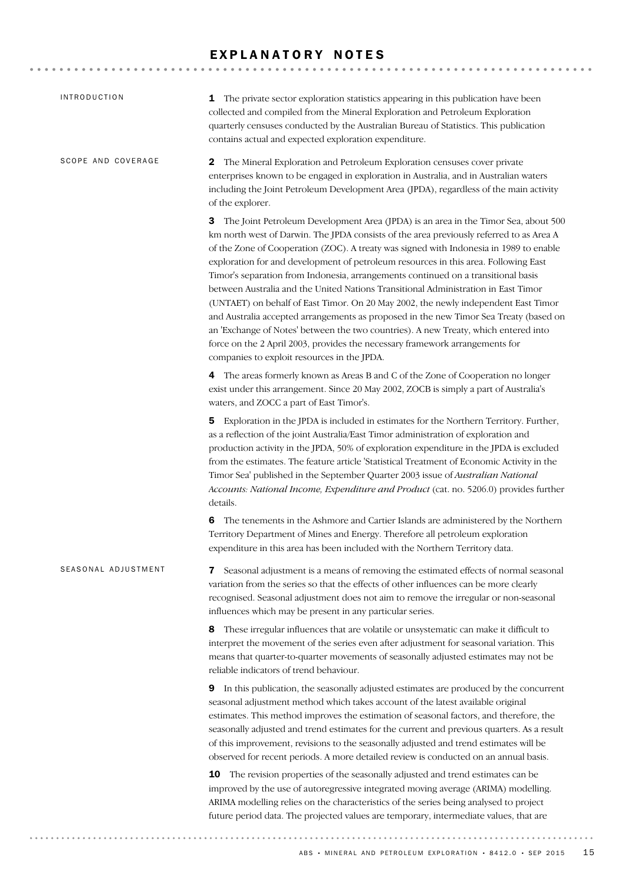### EXPLANATORY NOTES

| <i><b>INTRODUCTION</b></i> | 1 The private sector exploration statistics appearing in this publication have been<br>collected and compiled from the Mineral Exploration and Petroleum Exploration<br>quarterly censuses conducted by the Australian Bureau of Statistics. This publication<br>contains actual and expected exploration expenditure.                                                                                                                                                                                                                                                                                                                                                                                                                                                                                                                                                                                                                                  |
|----------------------------|---------------------------------------------------------------------------------------------------------------------------------------------------------------------------------------------------------------------------------------------------------------------------------------------------------------------------------------------------------------------------------------------------------------------------------------------------------------------------------------------------------------------------------------------------------------------------------------------------------------------------------------------------------------------------------------------------------------------------------------------------------------------------------------------------------------------------------------------------------------------------------------------------------------------------------------------------------|
| SCOPE AND COVERAGE         | The Mineral Exploration and Petroleum Exploration censuses cover private<br>$\mathbf{2}$<br>enterprises known to be engaged in exploration in Australia, and in Australian waters<br>including the Joint Petroleum Development Area (JPDA), regardless of the main activity<br>of the explorer.                                                                                                                                                                                                                                                                                                                                                                                                                                                                                                                                                                                                                                                         |
|                            | <b>3</b> The Joint Petroleum Development Area (JPDA) is an area in the Timor Sea, about 500<br>km north west of Darwin. The JPDA consists of the area previously referred to as Area A<br>of the Zone of Cooperation (ZOC). A treaty was signed with Indonesia in 1989 to enable<br>exploration for and development of petroleum resources in this area. Following East<br>Timor's separation from Indonesia, arrangements continued on a transitional basis<br>between Australia and the United Nations Transitional Administration in East Timor<br>(UNTAET) on behalf of East Timor. On 20 May 2002, the newly independent East Timor<br>and Australia accepted arrangements as proposed in the new Timor Sea Treaty (based on<br>an 'Exchange of Notes' between the two countries). A new Treaty, which entered into<br>force on the 2 April 2003, provides the necessary framework arrangements for<br>companies to exploit resources in the JPDA. |
|                            | <b>4</b> The areas formerly known as Areas B and C of the Zone of Cooperation no longer<br>exist under this arrangement. Since 20 May 2002, ZOCB is simply a part of Australia's<br>waters, and ZOCC a part of East Timor's.                                                                                                                                                                                                                                                                                                                                                                                                                                                                                                                                                                                                                                                                                                                            |
|                            | Exploration in the JPDA is included in estimates for the Northern Territory. Further,<br>5.<br>as a reflection of the joint Australia/East Timor administration of exploration and<br>production activity in the JPDA, 50% of exploration expenditure in the JPDA is excluded<br>from the estimates. The feature article 'Statistical Treatment of Economic Activity in the<br>Timor Sea' published in the September Quarter 2003 issue of Australian National<br>Accounts: National Income, Expenditure and Product (cat. no. 5206.0) provides further<br>details.                                                                                                                                                                                                                                                                                                                                                                                     |
|                            | The tenements in the Ashmore and Cartier Islands are administered by the Northern<br>6<br>Territory Department of Mines and Energy. Therefore all petroleum exploration<br>expenditure in this area has been included with the Northern Territory data.                                                                                                                                                                                                                                                                                                                                                                                                                                                                                                                                                                                                                                                                                                 |
| SEASONAL ADJUSTMENT        | Seasonal adjustment is a means of removing the estimated effects of normal seasonal<br>7<br>variation from the series so that the effects of other influences can be more clearly<br>recognised. Seasonal adjustment does not aim to remove the irregular or non-seasonal<br>influences which may be present in any particular series.                                                                                                                                                                                                                                                                                                                                                                                                                                                                                                                                                                                                                  |
|                            | 8 These irregular influences that are volatile or unsystematic can make it difficult to<br>interpret the movement of the series even after adjustment for seasonal variation. This<br>means that quarter-to-quarter movements of seasonally adjusted estimates may not be<br>reliable indicators of trend behaviour.                                                                                                                                                                                                                                                                                                                                                                                                                                                                                                                                                                                                                                    |
|                            | 9 In this publication, the seasonally adjusted estimates are produced by the concurrent<br>seasonal adjustment method which takes account of the latest available original<br>estimates. This method improves the estimation of seasonal factors, and therefore, the<br>seasonally adjusted and trend estimates for the current and previous quarters. As a result<br>of this improvement, revisions to the seasonally adjusted and trend estimates will be<br>observed for recent periods. A more detailed review is conducted on an annual basis.                                                                                                                                                                                                                                                                                                                                                                                                     |
|                            | 10 The revision properties of the seasonally adjusted and trend estimates can be<br>improved by the use of autoregressive integrated moving average (ARIMA) modelling.<br>ARIMA modelling relies on the characteristics of the series being analysed to project<br>future period data. The projected values are temporary, intermediate values, that are                                                                                                                                                                                                                                                                                                                                                                                                                                                                                                                                                                                                |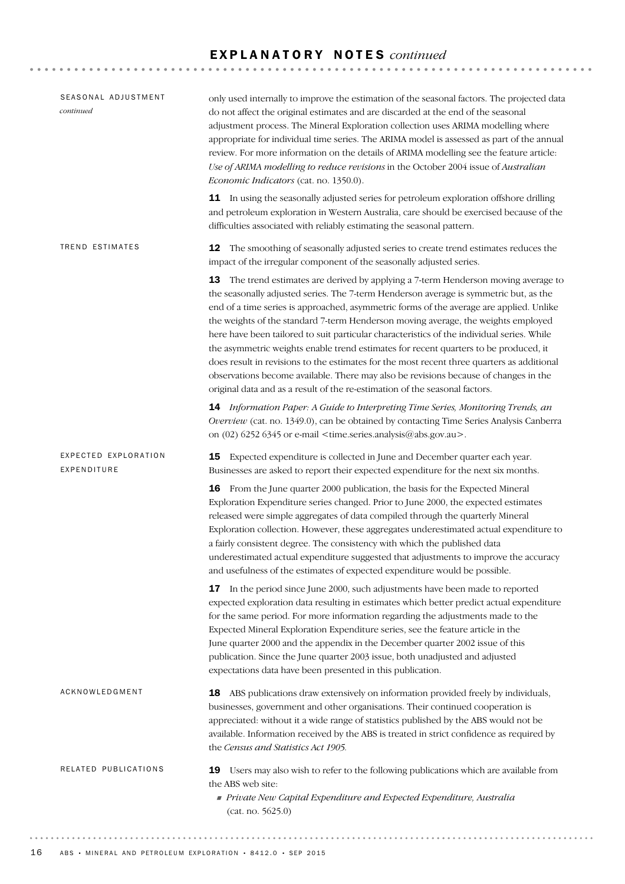### E X P L A N A T O R Y N O T E S *continued*

| SEASONAL ADJUSTMENT<br>continued    | only used internally to improve the estimation of the seasonal factors. The projected data<br>do not affect the original estimates and are discarded at the end of the seasonal<br>adjustment process. The Mineral Exploration collection uses ARIMA modelling where<br>appropriate for individual time series. The ARIMA model is assessed as part of the annual<br>review. For more information on the details of ARIMA modelling see the feature article:<br>Use of ARIMA modelling to reduce revisions in the October 2004 issue of Australian<br>Economic Indicators (cat. no. 1350.0).                                                                                                                                                                                                                                   |
|-------------------------------------|--------------------------------------------------------------------------------------------------------------------------------------------------------------------------------------------------------------------------------------------------------------------------------------------------------------------------------------------------------------------------------------------------------------------------------------------------------------------------------------------------------------------------------------------------------------------------------------------------------------------------------------------------------------------------------------------------------------------------------------------------------------------------------------------------------------------------------|
|                                     | 11 In using the seasonally adjusted series for petroleum exploration offshore drilling<br>and petroleum exploration in Western Australia, care should be exercised because of the<br>difficulties associated with reliably estimating the seasonal pattern.                                                                                                                                                                                                                                                                                                                                                                                                                                                                                                                                                                    |
| TREND ESTIMATES                     | The smoothing of seasonally adjusted series to create trend estimates reduces the<br>12<br>impact of the irregular component of the seasonally adjusted series.                                                                                                                                                                                                                                                                                                                                                                                                                                                                                                                                                                                                                                                                |
|                                     | <b>13</b> The trend estimates are derived by applying a 7-term Henderson moving average to<br>the seasonally adjusted series. The 7-term Henderson average is symmetric but, as the<br>end of a time series is approached, asymmetric forms of the average are applied. Unlike<br>the weights of the standard 7-term Henderson moving average, the weights employed<br>here have been tailored to suit particular characteristics of the individual series. While<br>the asymmetric weights enable trend estimates for recent quarters to be produced, it<br>does result in revisions to the estimates for the most recent three quarters as additional<br>observations become available. There may also be revisions because of changes in the<br>original data and as a result of the re-estimation of the seasonal factors. |
|                                     | 14 Information Paper: A Guide to Interpreting Time Series, Monitoring Trends, an<br>Overview (cat. no. 1349.0), can be obtained by contacting Time Series Analysis Canberra<br>on (02) 6252 6345 or e-mail <time.series.analysis@abs.gov.au>.</time.series.analysis@abs.gov.au>                                                                                                                                                                                                                                                                                                                                                                                                                                                                                                                                                |
| EXPECTED EXPLORATION<br>EXPENDITURE | Expected expenditure is collected in June and December quarter each year.<br>15<br>Businesses are asked to report their expected expenditure for the next six months.                                                                                                                                                                                                                                                                                                                                                                                                                                                                                                                                                                                                                                                          |
|                                     | 16 From the June quarter 2000 publication, the basis for the Expected Mineral<br>Exploration Expenditure series changed. Prior to June 2000, the expected estimates<br>released were simple aggregates of data compiled through the quarterly Mineral<br>Exploration collection. However, these aggregates underestimated actual expenditure to<br>a fairly consistent degree. The consistency with which the published data<br>underestimated actual expenditure suggested that adjustments to improve the accuracy<br>and usefulness of the estimates of expected expenditure would be possible.                                                                                                                                                                                                                             |
|                                     | In the period since June 2000, such adjustments have been made to reported<br>17<br>expected exploration data resulting in estimates which better predict actual expenditure<br>for the same period. For more information regarding the adjustments made to the<br>Expected Mineral Exploration Expenditure series, see the feature article in the<br>June quarter 2000 and the appendix in the December quarter 2002 issue of this<br>publication. Since the June quarter 2003 issue, both unadjusted and adjusted<br>expectations data have been presented in this publication.                                                                                                                                                                                                                                              |
| ACKNOWLEDGMENT                      | 18 ABS publications draw extensively on information provided freely by individuals,<br>businesses, government and other organisations. Their continued cooperation is<br>appreciated: without it a wide range of statistics published by the ABS would not be<br>available. Information received by the ABS is treated in strict confidence as required by<br>the Census and Statistics Act 1905.                                                                                                                                                                                                                                                                                                                                                                                                                              |
| RELATED PUBLICATIONS                | Users may also wish to refer to the following publications which are available from<br>19<br>the ABS web site:<br>Private New Capital Expenditure and Expected Expenditure, Australia<br>(cat. no. 5625.0)                                                                                                                                                                                                                                                                                                                                                                                                                                                                                                                                                                                                                     |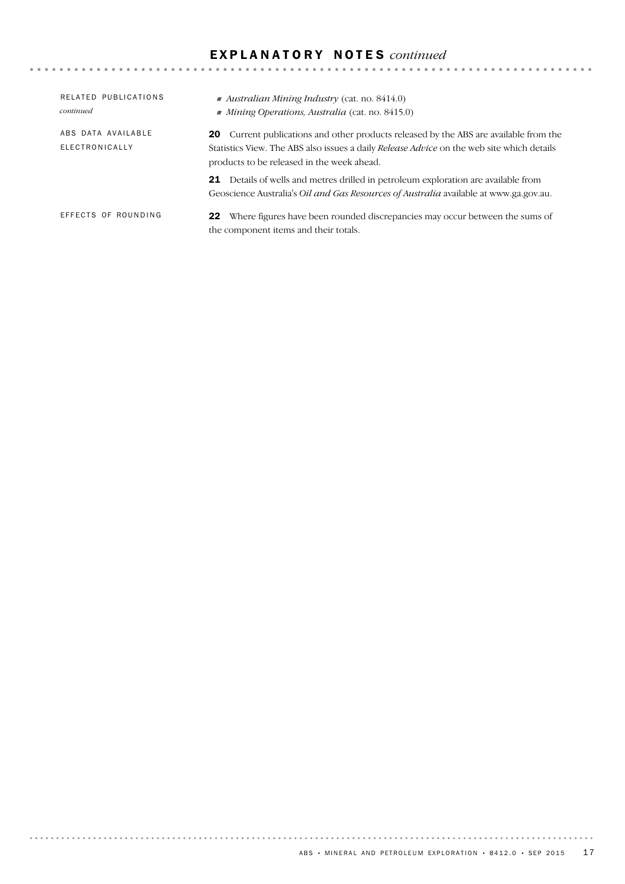### E X P L A N A T O R Y N O T E S *continued*

| RELATED PUBLICATIONS<br>continued    | Australian Mining Industry (cat. no. $8414.0$ )<br>$\blacksquare$ Mining Operations, Australia (cat. no. 8415.0)                                                                                                                               |
|--------------------------------------|------------------------------------------------------------------------------------------------------------------------------------------------------------------------------------------------------------------------------------------------|
| ABS DATA AVAILABLE<br>ELECTRONICALLY | <b>20</b> Current publications and other products released by the ABS are available from the<br>Statistics View. The ABS also issues a daily <i>Release Advice</i> on the web site which details<br>products to be released in the week ahead. |
|                                      | Details of wells and metres drilled in petroleum exploration are available from<br>21<br>Geoscience Australia's Oil and Gas Resources of Australia available at www.ga.gov.au.                                                                 |
| EFFECTS OF ROUNDING                  | <b>22</b> Where figures have been rounded discrepancies may occur between the sums of<br>the component items and their totals.                                                                                                                 |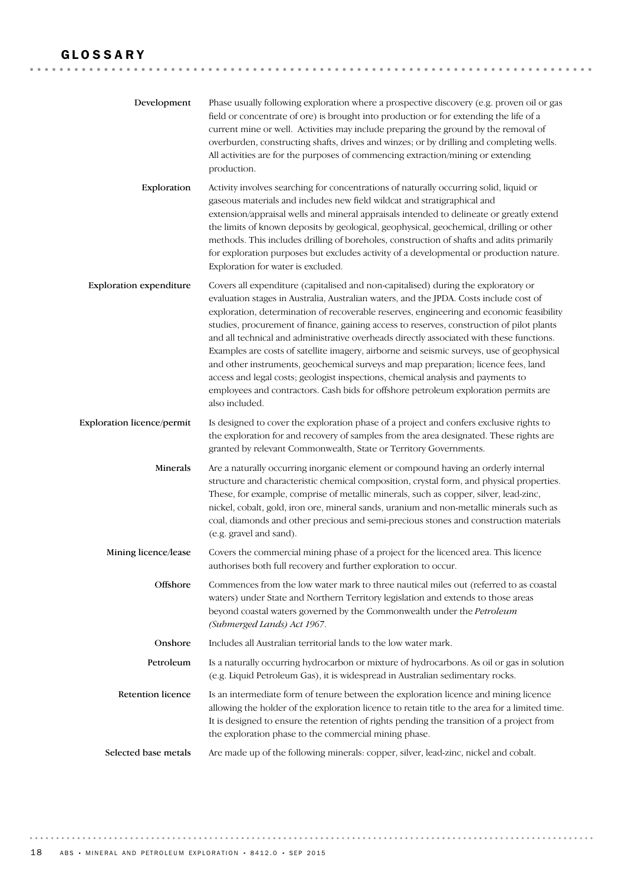### GLOSSARY

| Development                    | Phase usually following exploration where a prospective discovery (e.g. proven oil or gas<br>field or concentrate of ore) is brought into production or for extending the life of a<br>current mine or well. Activities may include preparing the ground by the removal of<br>overburden, constructing shafts, drives and winzes; or by drilling and completing wells.<br>All activities are for the purposes of commencing extraction/mining or extending<br>production.                                                                                                                                                                                                                                                                                                                                                                         |
|--------------------------------|---------------------------------------------------------------------------------------------------------------------------------------------------------------------------------------------------------------------------------------------------------------------------------------------------------------------------------------------------------------------------------------------------------------------------------------------------------------------------------------------------------------------------------------------------------------------------------------------------------------------------------------------------------------------------------------------------------------------------------------------------------------------------------------------------------------------------------------------------|
| Exploration                    | Activity involves searching for concentrations of naturally occurring solid, liquid or<br>gaseous materials and includes new field wildcat and stratigraphical and<br>extension/appraisal wells and mineral appraisals intended to delineate or greatly extend<br>the limits of known deposits by geological, geophysical, geochemical, drilling or other<br>methods. This includes drilling of boreholes, construction of shafts and adits primarily<br>for exploration purposes but excludes activity of a developmental or production nature.<br>Exploration for water is excluded.                                                                                                                                                                                                                                                            |
| <b>Exploration expenditure</b> | Covers all expenditure (capitalised and non-capitalised) during the exploratory or<br>evaluation stages in Australia, Australian waters, and the JPDA. Costs include cost of<br>exploration, determination of recoverable reserves, engineering and economic feasibility<br>studies, procurement of finance, gaining access to reserves, construction of pilot plants<br>and all technical and administrative overheads directly associated with these functions.<br>Examples are costs of satellite imagery, airborne and seismic surveys, use of geophysical<br>and other instruments, geochemical surveys and map preparation; licence fees, land<br>access and legal costs; geologist inspections, chemical analysis and payments to<br>employees and contractors. Cash bids for offshore petroleum exploration permits are<br>also included. |
| Exploration licence/permit     | Is designed to cover the exploration phase of a project and confers exclusive rights to<br>the exploration for and recovery of samples from the area designated. These rights are<br>granted by relevant Commonwealth, State or Territory Governments.                                                                                                                                                                                                                                                                                                                                                                                                                                                                                                                                                                                            |
| Minerals                       | Are a naturally occurring inorganic element or compound having an orderly internal<br>structure and characteristic chemical composition, crystal form, and physical properties.<br>These, for example, comprise of metallic minerals, such as copper, silver, lead-zinc,<br>nickel, cobalt, gold, iron ore, mineral sands, uranium and non-metallic minerals such as<br>coal, diamonds and other precious and semi-precious stones and construction materials<br>(e.g. gravel and sand).                                                                                                                                                                                                                                                                                                                                                          |
| Mining licence/lease           | Covers the commercial mining phase of a project for the licenced area. This licence<br>authorises both full recovery and further exploration to occur.                                                                                                                                                                                                                                                                                                                                                                                                                                                                                                                                                                                                                                                                                            |
| Offshore                       | Commences from the low water mark to three nautical miles out (referred to as coastal<br>waters) under State and Northern Territory legislation and extends to those areas<br>beyond coastal waters governed by the Commonwealth under the Petroleum<br>(Submerged Lands) Act 1967.                                                                                                                                                                                                                                                                                                                                                                                                                                                                                                                                                               |
| Onshore                        | Includes all Australian territorial lands to the low water mark.                                                                                                                                                                                                                                                                                                                                                                                                                                                                                                                                                                                                                                                                                                                                                                                  |
| Petroleum                      | Is a naturally occurring hydrocarbon or mixture of hydrocarbons. As oil or gas in solution<br>(e.g. Liquid Petroleum Gas), it is widespread in Australian sedimentary rocks.                                                                                                                                                                                                                                                                                                                                                                                                                                                                                                                                                                                                                                                                      |
| <b>Retention licence</b>       | Is an intermediate form of tenure between the exploration licence and mining licence<br>allowing the holder of the exploration licence to retain title to the area for a limited time.<br>It is designed to ensure the retention of rights pending the transition of a project from<br>the exploration phase to the commercial mining phase.                                                                                                                                                                                                                                                                                                                                                                                                                                                                                                      |
| Selected base metals           | Are made up of the following minerals: copper, silver, lead-zinc, nickel and cobalt.                                                                                                                                                                                                                                                                                                                                                                                                                                                                                                                                                                                                                                                                                                                                                              |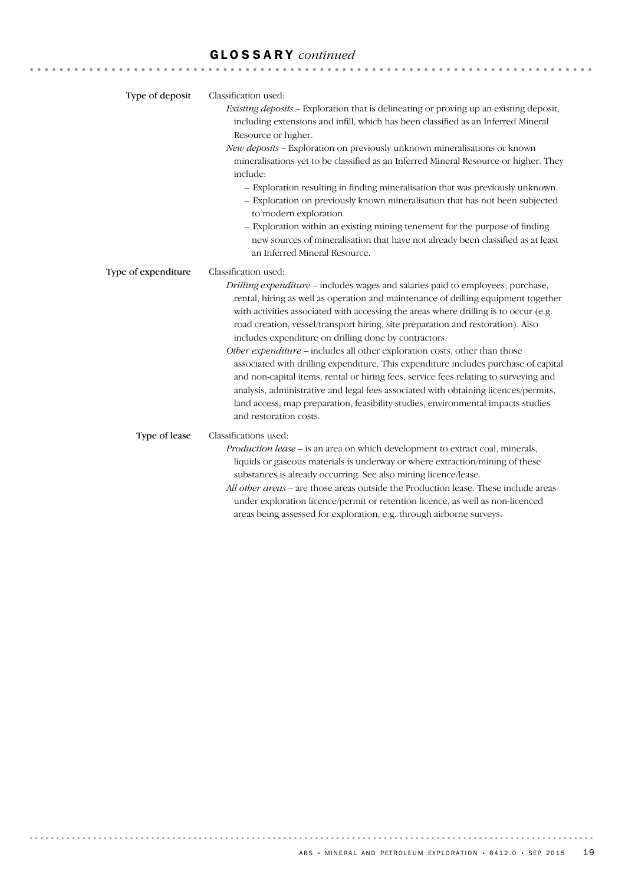# GLOSSARY *continued*

| Type of deposit     | Classification used:<br>Existing deposits - Exploration that is delineating or proving up an existing deposit,<br>including extensions and infill, which has been classified as an Inferred Mineral<br>Resource or higher.<br>New deposits - Exploration on previously unknown mineralisations or known<br>mineralisations yet to be classified as an Inferred Mineral Resource or higher. They<br>include:<br>- Exploration resulting in finding mineralisation that was previously unknown.<br>- Exploration on previously known mineralisation that has not been subjected<br>to modern exploration.<br>- Exploration within an existing mining tenement for the purpose of finding<br>new sources of mineralisation that have not already been classified as at least<br>an Inferred Mineral Resource.                                                                                          |
|---------------------|-----------------------------------------------------------------------------------------------------------------------------------------------------------------------------------------------------------------------------------------------------------------------------------------------------------------------------------------------------------------------------------------------------------------------------------------------------------------------------------------------------------------------------------------------------------------------------------------------------------------------------------------------------------------------------------------------------------------------------------------------------------------------------------------------------------------------------------------------------------------------------------------------------|
| Type of expenditure | Classification used:<br>Drilling expenditure - includes wages and salaries paid to employees; purchase,<br>rental, hiring as well as operation and maintenance of drilling equipment together<br>with activities associated with accessing the areas where drilling is to occur (e.g.<br>road creation, vessel/transport hiring, site preparation and restoration). Also<br>includes expenditure on drilling done by contractors.<br>Other expenditure - includes all other exploration costs, other than those<br>associated with drilling expenditure. This expenditure includes purchase of capital<br>and non-capital items, rental or hiring fees, service fees relating to surveying and<br>analysis, administrative and legal fees associated with obtaining licences/permits,<br>land access, map preparation, feasibility studies, environmental impacts studies<br>and restoration costs. |
| Type of lease       | Classifications used:<br>Production lease - is an area on which development to extract coal, minerals,<br>liquids or gaseous materials is underway or where extraction/mining of these<br>substances is already occurring. See also mining licence/lease.<br>All other areas - are those areas outside the Production lease. These include areas<br>under exploration licence/permit or retention licence, as well as non-licenced<br>areas being assessed for exploration, e.g. through airborne surveys.                                                                                                                                                                                                                                                                                                                                                                                          |